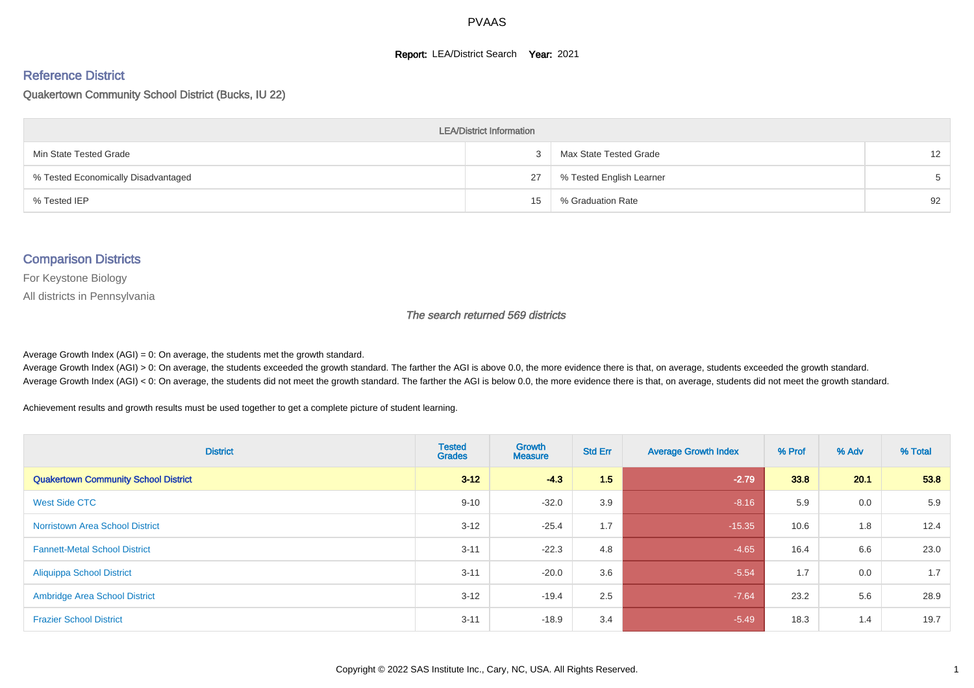#### **Report: LEA/District Search Year: 2021**

# Reference District

#### Quakertown Community School District (Bucks, IU 22)

| <b>LEA/District Information</b>     |    |                          |                   |  |  |  |  |  |  |  |
|-------------------------------------|----|--------------------------|-------------------|--|--|--|--|--|--|--|
| Min State Tested Grade              |    | Max State Tested Grade   | $12 \overline{ }$ |  |  |  |  |  |  |  |
| % Tested Economically Disadvantaged | 27 | % Tested English Learner | $5 -$             |  |  |  |  |  |  |  |
| % Tested IEP                        | 15 | % Graduation Rate        | 92                |  |  |  |  |  |  |  |

#### Comparison Districts

For Keystone Biology

All districts in Pennsylvania

The search returned 569 districts

Average Growth Index  $(AGI) = 0$ : On average, the students met the growth standard.

Average Growth Index (AGI) > 0: On average, the students exceeded the growth standard. The farther the AGI is above 0.0, the more evidence there is that, on average, students exceeded the growth standard. Average Growth Index (AGI) < 0: On average, the students did not meet the growth standard. The farther the AGI is below 0.0, the more evidence there is that, on average, students did not meet the growth standard.

Achievement results and growth results must be used together to get a complete picture of student learning.

| <b>District</b>                             | <b>Tested</b><br><b>Grades</b> | Growth<br><b>Measure</b> | <b>Std Err</b> | <b>Average Growth Index</b> | % Prof | % Adv | % Total |
|---------------------------------------------|--------------------------------|--------------------------|----------------|-----------------------------|--------|-------|---------|
| <b>Quakertown Community School District</b> | $3 - 12$                       | $-4.3$                   | 1.5            | $-2.79$                     | 33.8   | 20.1  | 53.8    |
| West Side CTC                               | $9 - 10$                       | $-32.0$                  | 3.9            | $-8.16$                     | 5.9    | 0.0   | 5.9     |
| <b>Norristown Area School District</b>      | $3 - 12$                       | $-25.4$                  | 1.7            | $-15.35$                    | 10.6   | 1.8   | 12.4    |
| <b>Fannett-Metal School District</b>        | $3 - 11$                       | $-22.3$                  | 4.8            | $-4.65$                     | 16.4   | 6.6   | 23.0    |
| <b>Aliquippa School District</b>            | $3 - 11$                       | $-20.0$                  | 3.6            | $-5.54$                     | 1.7    | 0.0   | 1.7     |
| <b>Ambridge Area School District</b>        | $3 - 12$                       | $-19.4$                  | 2.5            | $-7.64$                     | 23.2   | 5.6   | 28.9    |
| <b>Frazier School District</b>              | $3 - 11$                       | $-18.9$                  | 3.4            | $-5.49$                     | 18.3   | 1.4   | 19.7    |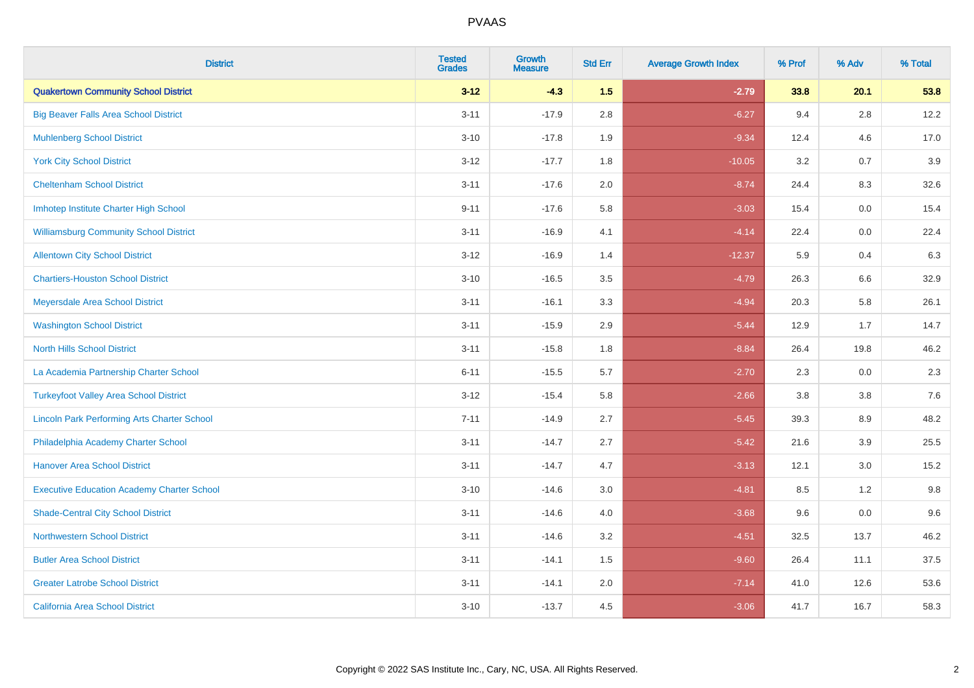| <b>District</b>                                    | <b>Tested</b><br><b>Grades</b> | <b>Growth</b><br><b>Measure</b> | <b>Std Err</b> | <b>Average Growth Index</b> | % Prof | % Adv   | % Total |
|----------------------------------------------------|--------------------------------|---------------------------------|----------------|-----------------------------|--------|---------|---------|
| <b>Quakertown Community School District</b>        | $3 - 12$                       | $-4.3$                          | 1.5            | $-2.79$                     | 33.8   | 20.1    | 53.8    |
| <b>Big Beaver Falls Area School District</b>       | $3 - 11$                       | $-17.9$                         | $2.8\,$        | $-6.27$                     | 9.4    | $2.8\,$ | 12.2    |
| <b>Muhlenberg School District</b>                  | $3 - 10$                       | $-17.8$                         | 1.9            | $-9.34$                     | 12.4   | 4.6     | 17.0    |
| <b>York City School District</b>                   | $3 - 12$                       | $-17.7$                         | 1.8            | $-10.05$                    | 3.2    | 0.7     | 3.9     |
| <b>Cheltenham School District</b>                  | $3 - 11$                       | $-17.6$                         | 2.0            | $-8.74$                     | 24.4   | 8.3     | 32.6    |
| Imhotep Institute Charter High School              | $9 - 11$                       | $-17.6$                         | 5.8            | $-3.03$                     | 15.4   | 0.0     | 15.4    |
| <b>Williamsburg Community School District</b>      | $3 - 11$                       | $-16.9$                         | 4.1            | $-4.14$                     | 22.4   | 0.0     | 22.4    |
| <b>Allentown City School District</b>              | $3 - 12$                       | $-16.9$                         | 1.4            | $-12.37$                    | 5.9    | 0.4     | 6.3     |
| <b>Chartiers-Houston School District</b>           | $3 - 10$                       | $-16.5$                         | 3.5            | $-4.79$                     | 26.3   | 6.6     | 32.9    |
| Meyersdale Area School District                    | $3 - 11$                       | $-16.1$                         | 3.3            | $-4.94$                     | 20.3   | 5.8     | 26.1    |
| <b>Washington School District</b>                  | $3 - 11$                       | $-15.9$                         | 2.9            | $-5.44$                     | 12.9   | 1.7     | 14.7    |
| <b>North Hills School District</b>                 | $3 - 11$                       | $-15.8$                         | 1.8            | $-8.84$                     | 26.4   | 19.8    | 46.2    |
| La Academia Partnership Charter School             | $6 - 11$                       | $-15.5$                         | 5.7            | $-2.70$                     | 2.3    | $0.0\,$ | 2.3     |
| <b>Turkeyfoot Valley Area School District</b>      | $3 - 12$                       | $-15.4$                         | 5.8            | $-2.66$                     | 3.8    | 3.8     | 7.6     |
| <b>Lincoln Park Performing Arts Charter School</b> | $7 - 11$                       | $-14.9$                         | 2.7            | $-5.45$                     | 39.3   | 8.9     | 48.2    |
| Philadelphia Academy Charter School                | $3 - 11$                       | $-14.7$                         | 2.7            | $-5.42$                     | 21.6   | 3.9     | 25.5    |
| <b>Hanover Area School District</b>                | $3 - 11$                       | $-14.7$                         | 4.7            | $-3.13$                     | 12.1   | 3.0     | 15.2    |
| <b>Executive Education Academy Charter School</b>  | $3 - 10$                       | $-14.6$                         | 3.0            | $-4.81$                     | 8.5    | 1.2     | 9.8     |
| <b>Shade-Central City School District</b>          | $3 - 11$                       | $-14.6$                         | 4.0            | $-3.68$                     | 9.6    | 0.0     | 9.6     |
| <b>Northwestern School District</b>                | $3 - 11$                       | $-14.6$                         | 3.2            | $-4.51$                     | 32.5   | 13.7    | 46.2    |
| <b>Butler Area School District</b>                 | $3 - 11$                       | $-14.1$                         | 1.5            | $-9.60$                     | 26.4   | 11.1    | 37.5    |
| <b>Greater Latrobe School District</b>             | $3 - 11$                       | $-14.1$                         | 2.0            | $-7.14$                     | 41.0   | 12.6    | 53.6    |
| <b>California Area School District</b>             | $3 - 10$                       | $-13.7$                         | 4.5            | $-3.06$                     | 41.7   | 16.7    | 58.3    |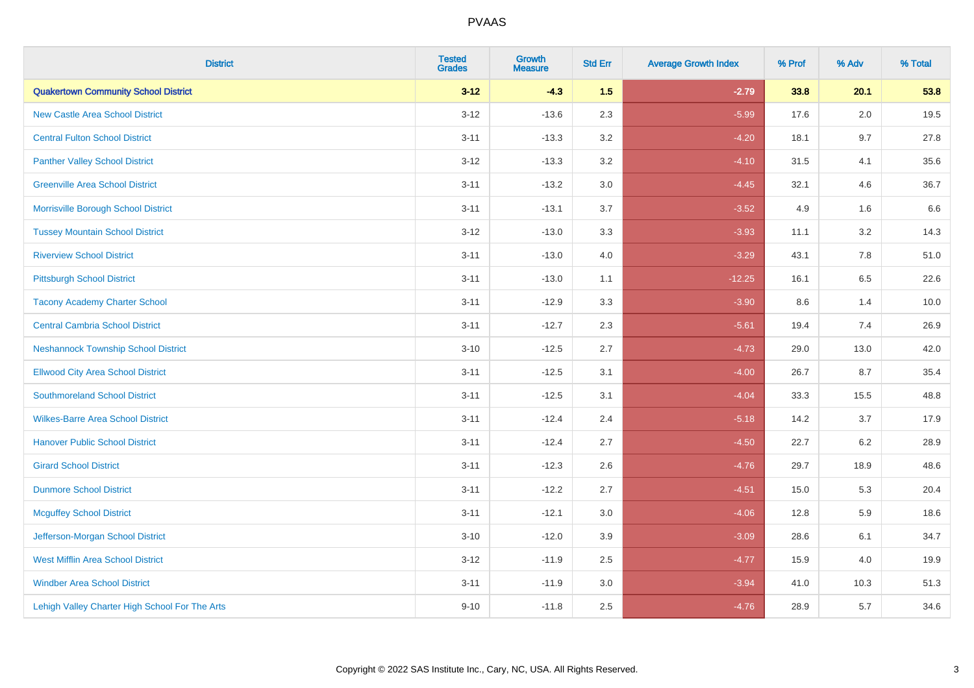| <b>District</b>                                | <b>Tested</b><br><b>Grades</b> | <b>Growth</b><br><b>Measure</b> | <b>Std Err</b> | <b>Average Growth Index</b> | % Prof | % Adv   | % Total |
|------------------------------------------------|--------------------------------|---------------------------------|----------------|-----------------------------|--------|---------|---------|
| <b>Quakertown Community School District</b>    | $3 - 12$                       | $-4.3$                          | 1.5            | $-2.79$                     | 33.8   | 20.1    | 53.8    |
| <b>New Castle Area School District</b>         | $3 - 12$                       | $-13.6$                         | 2.3            | $-5.99$                     | 17.6   | $2.0\,$ | 19.5    |
| <b>Central Fulton School District</b>          | $3 - 11$                       | $-13.3$                         | 3.2            | $-4.20$                     | 18.1   | 9.7     | 27.8    |
| <b>Panther Valley School District</b>          | $3 - 12$                       | $-13.3$                         | 3.2            | $-4.10$                     | 31.5   | 4.1     | 35.6    |
| <b>Greenville Area School District</b>         | $3 - 11$                       | $-13.2$                         | 3.0            | $-4.45$                     | 32.1   | 4.6     | 36.7    |
| Morrisville Borough School District            | $3 - 11$                       | $-13.1$                         | 3.7            | $-3.52$                     | 4.9    | 1.6     | 6.6     |
| <b>Tussey Mountain School District</b>         | $3 - 12$                       | $-13.0$                         | 3.3            | $-3.93$                     | 11.1   | 3.2     | 14.3    |
| <b>Riverview School District</b>               | $3 - 11$                       | $-13.0$                         | 4.0            | $-3.29$                     | 43.1   | 7.8     | 51.0    |
| <b>Pittsburgh School District</b>              | $3 - 11$                       | $-13.0$                         | 1.1            | $-12.25$                    | 16.1   | 6.5     | 22.6    |
| <b>Tacony Academy Charter School</b>           | $3 - 11$                       | $-12.9$                         | 3.3            | $-3.90$                     | 8.6    | 1.4     | 10.0    |
| <b>Central Cambria School District</b>         | $3 - 11$                       | $-12.7$                         | 2.3            | $-5.61$                     | 19.4   | 7.4     | 26.9    |
| <b>Neshannock Township School District</b>     | $3 - 10$                       | $-12.5$                         | 2.7            | $-4.73$                     | 29.0   | 13.0    | 42.0    |
| <b>Ellwood City Area School District</b>       | $3 - 11$                       | $-12.5$                         | 3.1            | $-4.00$                     | 26.7   | 8.7     | 35.4    |
| <b>Southmoreland School District</b>           | $3 - 11$                       | $-12.5$                         | 3.1            | $-4.04$                     | 33.3   | 15.5    | 48.8    |
| <b>Wilkes-Barre Area School District</b>       | $3 - 11$                       | $-12.4$                         | 2.4            | $-5.18$                     | 14.2   | 3.7     | 17.9    |
| <b>Hanover Public School District</b>          | $3 - 11$                       | $-12.4$                         | 2.7            | $-4.50$                     | 22.7   | $6.2\,$ | 28.9    |
| <b>Girard School District</b>                  | $3 - 11$                       | $-12.3$                         | 2.6            | $-4.76$                     | 29.7   | 18.9    | 48.6    |
| <b>Dunmore School District</b>                 | $3 - 11$                       | $-12.2$                         | 2.7            | $-4.51$                     | 15.0   | 5.3     | 20.4    |
| <b>Mcguffey School District</b>                | $3 - 11$                       | $-12.1$                         | 3.0            | $-4.06$                     | 12.8   | 5.9     | 18.6    |
| Jefferson-Morgan School District               | $3 - 10$                       | $-12.0$                         | 3.9            | $-3.09$                     | 28.6   | 6.1     | 34.7    |
| <b>West Mifflin Area School District</b>       | $3 - 12$                       | $-11.9$                         | 2.5            | $-4.77$                     | 15.9   | 4.0     | 19.9    |
| <b>Windber Area School District</b>            | $3 - 11$                       | $-11.9$                         | 3.0            | $-3.94$                     | 41.0   | 10.3    | 51.3    |
| Lehigh Valley Charter High School For The Arts | $9 - 10$                       | $-11.8$                         | 2.5            | $-4.76$                     | 28.9   | 5.7     | 34.6    |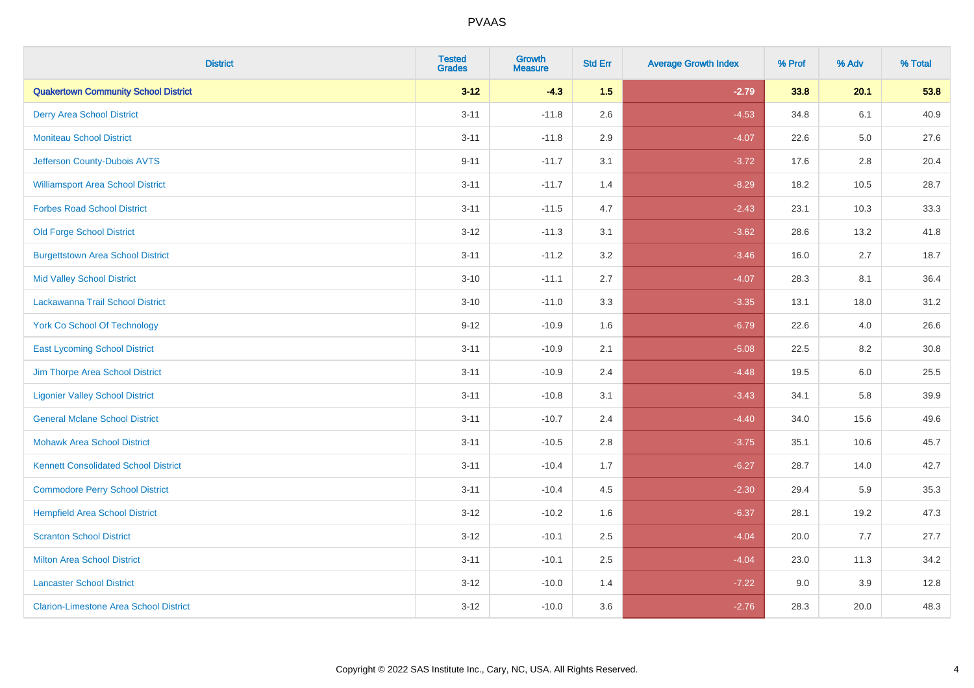| <b>District</b>                               | <b>Tested</b><br><b>Grades</b> | <b>Growth</b><br><b>Measure</b> | <b>Std Err</b> | <b>Average Growth Index</b> | % Prof | % Adv   | % Total |
|-----------------------------------------------|--------------------------------|---------------------------------|----------------|-----------------------------|--------|---------|---------|
| <b>Quakertown Community School District</b>   | $3 - 12$                       | $-4.3$                          | 1.5            | $-2.79$                     | 33.8   | 20.1    | 53.8    |
| <b>Derry Area School District</b>             | $3 - 11$                       | $-11.8$                         | 2.6            | $-4.53$                     | 34.8   | 6.1     | 40.9    |
| <b>Moniteau School District</b>               | $3 - 11$                       | $-11.8$                         | 2.9            | $-4.07$                     | 22.6   | $5.0\,$ | 27.6    |
| Jefferson County-Dubois AVTS                  | $9 - 11$                       | $-11.7$                         | 3.1            | $-3.72$                     | 17.6   | 2.8     | 20.4    |
| <b>Williamsport Area School District</b>      | $3 - 11$                       | $-11.7$                         | 1.4            | $-8.29$                     | 18.2   | 10.5    | 28.7    |
| <b>Forbes Road School District</b>            | $3 - 11$                       | $-11.5$                         | 4.7            | $-2.43$                     | 23.1   | 10.3    | 33.3    |
| <b>Old Forge School District</b>              | $3 - 12$                       | $-11.3$                         | 3.1            | $-3.62$                     | 28.6   | 13.2    | 41.8    |
| <b>Burgettstown Area School District</b>      | $3 - 11$                       | $-11.2$                         | 3.2            | $-3.46$                     | 16.0   | 2.7     | 18.7    |
| <b>Mid Valley School District</b>             | $3 - 10$                       | $-11.1$                         | 2.7            | $-4.07$                     | 28.3   | 8.1     | 36.4    |
| Lackawanna Trail School District              | $3 - 10$                       | $-11.0$                         | 3.3            | $-3.35$                     | 13.1   | 18.0    | 31.2    |
| <b>York Co School Of Technology</b>           | $9 - 12$                       | $-10.9$                         | 1.6            | $-6.79$                     | 22.6   | 4.0     | 26.6    |
| <b>East Lycoming School District</b>          | $3 - 11$                       | $-10.9$                         | 2.1            | $-5.08$                     | 22.5   | 8.2     | 30.8    |
| Jim Thorpe Area School District               | $3 - 11$                       | $-10.9$                         | 2.4            | $-4.48$                     | 19.5   | 6.0     | 25.5    |
| <b>Ligonier Valley School District</b>        | $3 - 11$                       | $-10.8$                         | 3.1            | $-3.43$                     | 34.1   | 5.8     | 39.9    |
| <b>General Mclane School District</b>         | $3 - 11$                       | $-10.7$                         | 2.4            | $-4.40$                     | 34.0   | 15.6    | 49.6    |
| <b>Mohawk Area School District</b>            | $3 - 11$                       | $-10.5$                         | 2.8            | $-3.75$                     | 35.1   | 10.6    | 45.7    |
| <b>Kennett Consolidated School District</b>   | $3 - 11$                       | $-10.4$                         | 1.7            | $-6.27$                     | 28.7   | 14.0    | 42.7    |
| <b>Commodore Perry School District</b>        | $3 - 11$                       | $-10.4$                         | 4.5            | $-2.30$                     | 29.4   | 5.9     | 35.3    |
| <b>Hempfield Area School District</b>         | $3 - 12$                       | $-10.2$                         | 1.6            | $-6.37$                     | 28.1   | 19.2    | 47.3    |
| <b>Scranton School District</b>               | $3 - 12$                       | $-10.1$                         | 2.5            | $-4.04$                     | 20.0   | 7.7     | 27.7    |
| <b>Milton Area School District</b>            | $3 - 11$                       | $-10.1$                         | 2.5            | $-4.04$                     | 23.0   | 11.3    | 34.2    |
| <b>Lancaster School District</b>              | $3 - 12$                       | $-10.0$                         | 1.4            | $-7.22$                     | 9.0    | 3.9     | 12.8    |
| <b>Clarion-Limestone Area School District</b> | $3 - 12$                       | $-10.0$                         | 3.6            | $-2.76$                     | 28.3   | 20.0    | 48.3    |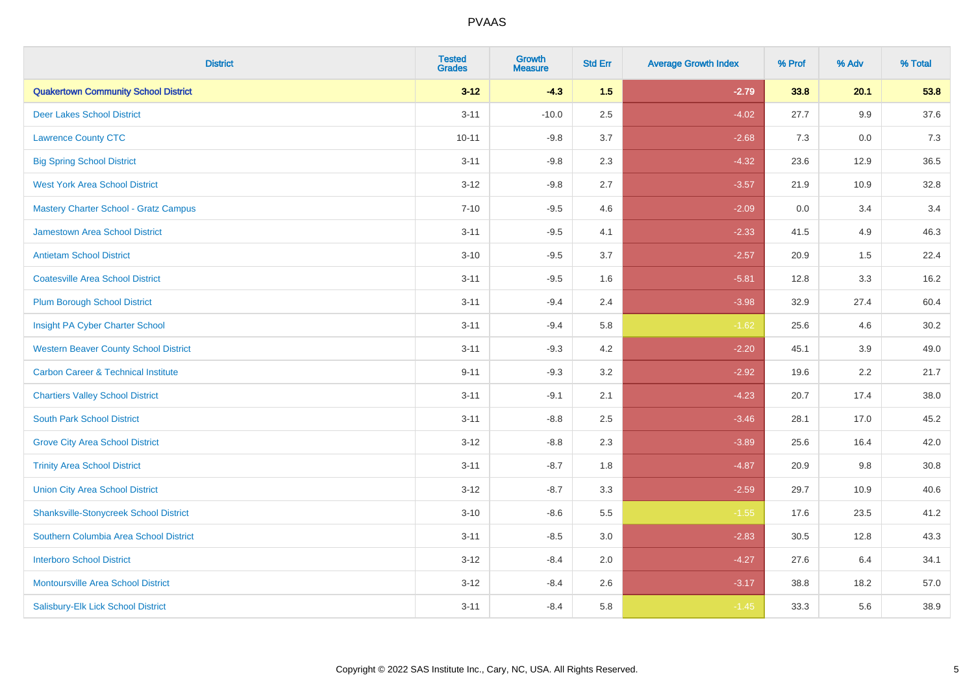| <b>District</b>                                | <b>Tested</b><br><b>Grades</b> | <b>Growth</b><br><b>Measure</b> | <b>Std Err</b> | <b>Average Growth Index</b> | % Prof | % Adv | % Total |
|------------------------------------------------|--------------------------------|---------------------------------|----------------|-----------------------------|--------|-------|---------|
| <b>Quakertown Community School District</b>    | $3 - 12$                       | $-4.3$                          | 1.5            | $-2.79$                     | 33.8   | 20.1  | 53.8    |
| <b>Deer Lakes School District</b>              | $3 - 11$                       | $-10.0$                         | 2.5            | $-4.02$                     | 27.7   | 9.9   | 37.6    |
| <b>Lawrence County CTC</b>                     | $10 - 11$                      | $-9.8$                          | 3.7            | $-2.68$                     | 7.3    | 0.0   | 7.3     |
| <b>Big Spring School District</b>              | $3 - 11$                       | $-9.8$                          | 2.3            | $-4.32$                     | 23.6   | 12.9  | 36.5    |
| <b>West York Area School District</b>          | $3 - 12$                       | $-9.8$                          | 2.7            | $-3.57$                     | 21.9   | 10.9  | 32.8    |
| Mastery Charter School - Gratz Campus          | $7 - 10$                       | $-9.5$                          | 4.6            | $-2.09$                     | 0.0    | 3.4   | 3.4     |
| <b>Jamestown Area School District</b>          | $3 - 11$                       | $-9.5$                          | 4.1            | $-2.33$                     | 41.5   | 4.9   | 46.3    |
| <b>Antietam School District</b>                | $3 - 10$                       | $-9.5$                          | 3.7            | $-2.57$                     | 20.9   | 1.5   | 22.4    |
| <b>Coatesville Area School District</b>        | $3 - 11$                       | $-9.5$                          | 1.6            | $-5.81$                     | 12.8   | 3.3   | 16.2    |
| <b>Plum Borough School District</b>            | $3 - 11$                       | $-9.4$                          | 2.4            | $-3.98$                     | 32.9   | 27.4  | 60.4    |
| Insight PA Cyber Charter School                | $3 - 11$                       | $-9.4$                          | 5.8            | $-1.62$                     | 25.6   | 4.6   | 30.2    |
| <b>Western Beaver County School District</b>   | $3 - 11$                       | $-9.3$                          | 4.2            | $-2.20$                     | 45.1   | 3.9   | 49.0    |
| <b>Carbon Career &amp; Technical Institute</b> | $9 - 11$                       | $-9.3$                          | 3.2            | $-2.92$                     | 19.6   | 2.2   | 21.7    |
| <b>Chartiers Valley School District</b>        | $3 - 11$                       | $-9.1$                          | 2.1            | $-4.23$                     | 20.7   | 17.4  | 38.0    |
| <b>South Park School District</b>              | $3 - 11$                       | $-8.8$                          | 2.5            | $-3.46$                     | 28.1   | 17.0  | 45.2    |
| <b>Grove City Area School District</b>         | $3 - 12$                       | $-8.8$                          | 2.3            | $-3.89$                     | 25.6   | 16.4  | 42.0    |
| <b>Trinity Area School District</b>            | $3 - 11$                       | $-8.7$                          | 1.8            | $-4.87$                     | 20.9   | 9.8   | 30.8    |
| <b>Union City Area School District</b>         | $3-12$                         | $-8.7$                          | 3.3            | $-2.59$                     | 29.7   | 10.9  | 40.6    |
| <b>Shanksville-Stonycreek School District</b>  | $3 - 10$                       | $-8.6$                          | 5.5            | $-1.55$                     | 17.6   | 23.5  | 41.2    |
| Southern Columbia Area School District         | $3 - 11$                       | $-8.5$                          | 3.0            | $-2.83$                     | 30.5   | 12.8  | 43.3    |
| <b>Interboro School District</b>               | $3 - 12$                       | $-8.4$                          | 2.0            | $-4.27$                     | 27.6   | 6.4   | 34.1    |
| <b>Montoursville Area School District</b>      | $3 - 12$                       | $-8.4$                          | 2.6            | $-3.17$                     | 38.8   | 18.2  | 57.0    |
| Salisbury-Elk Lick School District             | $3 - 11$                       | $-8.4$                          | 5.8            | $-1.45$                     | 33.3   | 5.6   | 38.9    |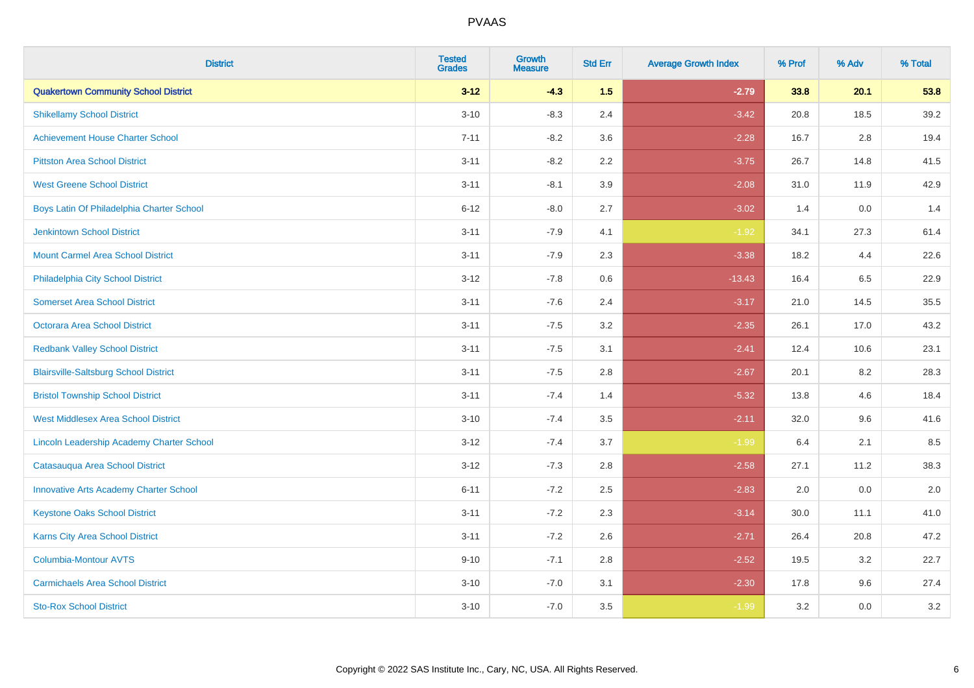| <b>District</b>                               | <b>Tested</b><br><b>Grades</b> | <b>Growth</b><br><b>Measure</b> | <b>Std Err</b> | <b>Average Growth Index</b> | % Prof | % Adv | % Total |
|-----------------------------------------------|--------------------------------|---------------------------------|----------------|-----------------------------|--------|-------|---------|
| <b>Quakertown Community School District</b>   | $3 - 12$                       | $-4.3$                          | 1.5            | $-2.79$                     | 33.8   | 20.1  | 53.8    |
| <b>Shikellamy School District</b>             | $3 - 10$                       | $-8.3$                          | 2.4            | $-3.42$                     | 20.8   | 18.5  | 39.2    |
| <b>Achievement House Charter School</b>       | $7 - 11$                       | $-8.2$                          | 3.6            | $-2.28$                     | 16.7   | 2.8   | 19.4    |
| <b>Pittston Area School District</b>          | $3 - 11$                       | $-8.2$                          | 2.2            | $-3.75$                     | 26.7   | 14.8  | 41.5    |
| <b>West Greene School District</b>            | $3 - 11$                       | $-8.1$                          | 3.9            | $-2.08$                     | 31.0   | 11.9  | 42.9    |
| Boys Latin Of Philadelphia Charter School     | $6 - 12$                       | $-8.0$                          | 2.7            | $-3.02$                     | 1.4    | 0.0   | 1.4     |
| <b>Jenkintown School District</b>             | $3 - 11$                       | $-7.9$                          | 4.1            | $-1.92$                     | 34.1   | 27.3  | 61.4    |
| <b>Mount Carmel Area School District</b>      | $3 - 11$                       | $-7.9$                          | 2.3            | $-3.38$                     | 18.2   | 4.4   | 22.6    |
| Philadelphia City School District             | $3 - 12$                       | $-7.8$                          | 0.6            | $-13.43$                    | 16.4   | 6.5   | 22.9    |
| <b>Somerset Area School District</b>          | $3 - 11$                       | $-7.6$                          | 2.4            | $-3.17$                     | 21.0   | 14.5  | 35.5    |
| Octorara Area School District                 | $3 - 11$                       | $-7.5$                          | 3.2            | $-2.35$                     | 26.1   | 17.0  | 43.2    |
| <b>Redbank Valley School District</b>         | $3 - 11$                       | $-7.5$                          | 3.1            | $-2.41$                     | 12.4   | 10.6  | 23.1    |
| <b>Blairsville-Saltsburg School District</b>  | $3 - 11$                       | $-7.5$                          | 2.8            | $-2.67$                     | 20.1   | 8.2   | 28.3    |
| <b>Bristol Township School District</b>       | $3 - 11$                       | $-7.4$                          | 1.4            | $-5.32$                     | 13.8   | 4.6   | 18.4    |
| <b>West Middlesex Area School District</b>    | $3 - 10$                       | $-7.4$                          | 3.5            | $-2.11$                     | 32.0   | 9.6   | 41.6    |
| Lincoln Leadership Academy Charter School     | $3 - 12$                       | $-7.4$                          | 3.7            | $-1.99$                     | 6.4    | 2.1   | 8.5     |
| Catasauqua Area School District               | $3 - 12$                       | $-7.3$                          | 2.8            | $-2.58$                     | 27.1   | 11.2  | 38.3    |
| <b>Innovative Arts Academy Charter School</b> | $6 - 11$                       | $-7.2$                          | 2.5            | $-2.83$                     | 2.0    | 0.0   | 2.0     |
| <b>Keystone Oaks School District</b>          | $3 - 11$                       | $-7.2$                          | 2.3            | $-3.14$                     | 30.0   | 11.1  | 41.0    |
| Karns City Area School District               | $3 - 11$                       | $-7.2$                          | 2.6            | $-2.71$                     | 26.4   | 20.8  | 47.2    |
| Columbia-Montour AVTS                         | $9 - 10$                       | $-7.1$                          | 2.8            | $-2.52$                     | 19.5   | 3.2   | 22.7    |
| <b>Carmichaels Area School District</b>       | $3 - 10$                       | $-7.0$                          | 3.1            | $-2.30$                     | 17.8   | 9.6   | 27.4    |
| <b>Sto-Rox School District</b>                | $3 - 10$                       | $-7.0$                          | 3.5            | $-1.99$                     | 3.2    | 0.0   | 3.2     |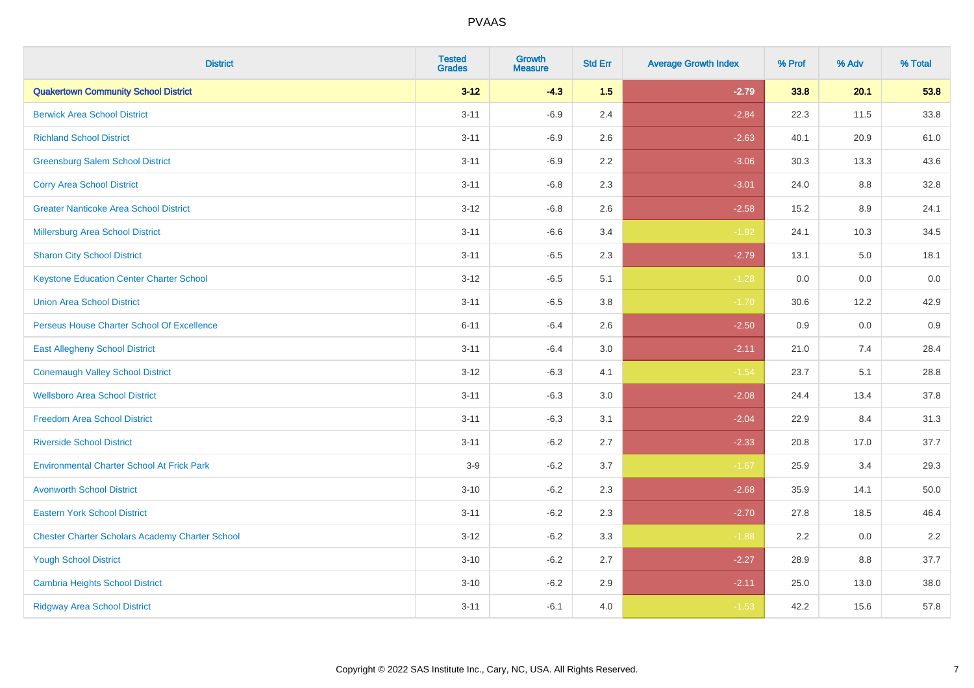| <b>District</b>                                        | <b>Tested</b><br><b>Grades</b> | <b>Growth</b><br><b>Measure</b> | <b>Std Err</b> | <b>Average Growth Index</b> | % Prof | % Adv | % Total |
|--------------------------------------------------------|--------------------------------|---------------------------------|----------------|-----------------------------|--------|-------|---------|
| <b>Quakertown Community School District</b>            | $3 - 12$                       | $-4.3$                          | 1.5            | $-2.79$                     | 33.8   | 20.1  | 53.8    |
| <b>Berwick Area School District</b>                    | $3 - 11$                       | $-6.9$                          | 2.4            | $-2.84$                     | 22.3   | 11.5  | 33.8    |
| <b>Richland School District</b>                        | $3 - 11$                       | $-6.9$                          | 2.6            | $-2.63$                     | 40.1   | 20.9  | 61.0    |
| <b>Greensburg Salem School District</b>                | $3 - 11$                       | $-6.9$                          | 2.2            | $-3.06$                     | 30.3   | 13.3  | 43.6    |
| <b>Corry Area School District</b>                      | $3 - 11$                       | $-6.8$                          | 2.3            | $-3.01$                     | 24.0   | 8.8   | 32.8    |
| <b>Greater Nanticoke Area School District</b>          | $3 - 12$                       | $-6.8$                          | 2.6            | $-2.58$                     | 15.2   | 8.9   | 24.1    |
| <b>Millersburg Area School District</b>                | $3 - 11$                       | $-6.6$                          | 3.4            | $-1.92$                     | 24.1   | 10.3  | 34.5    |
| <b>Sharon City School District</b>                     | $3 - 11$                       | $-6.5$                          | 2.3            | $-2.79$                     | 13.1   | 5.0   | 18.1    |
| <b>Keystone Education Center Charter School</b>        | $3 - 12$                       | $-6.5$                          | 5.1            | $-1.28$                     | 0.0    | 0.0   | 0.0     |
| <b>Union Area School District</b>                      | $3 - 11$                       | $-6.5$                          | 3.8            | $-1.70$                     | 30.6   | 12.2  | 42.9    |
| Perseus House Charter School Of Excellence             | $6 - 11$                       | $-6.4$                          | 2.6            | $-2.50$                     | 0.9    | 0.0   | 0.9     |
| <b>East Allegheny School District</b>                  | $3 - 11$                       | $-6.4$                          | 3.0            | $-2.11$                     | 21.0   | 7.4   | 28.4    |
| <b>Conemaugh Valley School District</b>                | $3 - 12$                       | $-6.3$                          | 4.1            | $-1.54$                     | 23.7   | 5.1   | 28.8    |
| <b>Wellsboro Area School District</b>                  | $3 - 11$                       | $-6.3$                          | 3.0            | $-2.08$                     | 24.4   | 13.4  | 37.8    |
| <b>Freedom Area School District</b>                    | $3 - 11$                       | $-6.3$                          | 3.1            | $-2.04$                     | 22.9   | 8.4   | 31.3    |
| <b>Riverside School District</b>                       | $3 - 11$                       | $-6.2$                          | 2.7            | $-2.33$                     | 20.8   | 17.0  | 37.7    |
| <b>Environmental Charter School At Frick Park</b>      | $3-9$                          | $-6.2$                          | 3.7            | $-1.67$                     | 25.9   | 3.4   | 29.3    |
| <b>Avonworth School District</b>                       | $3 - 10$                       | $-6.2$                          | 2.3            | $-2.68$                     | 35.9   | 14.1  | 50.0    |
| <b>Eastern York School District</b>                    | $3 - 11$                       | $-6.2$                          | 2.3            | $-2.70$                     | 27.8   | 18.5  | 46.4    |
| <b>Chester Charter Scholars Academy Charter School</b> | $3 - 12$                       | $-6.2$                          | 3.3            | $-1.88$                     | 2.2    | 0.0   | 2.2     |
| <b>Yough School District</b>                           | $3 - 10$                       | $-6.2$                          | 2.7            | $-2.27$                     | 28.9   | 8.8   | 37.7    |
| <b>Cambria Heights School District</b>                 | $3 - 10$                       | $-6.2$                          | 2.9            | $-2.11$                     | 25.0   | 13.0  | 38.0    |
| <b>Ridgway Area School District</b>                    | $3 - 11$                       | $-6.1$                          | 4.0            | $-1.53$                     | 42.2   | 15.6  | 57.8    |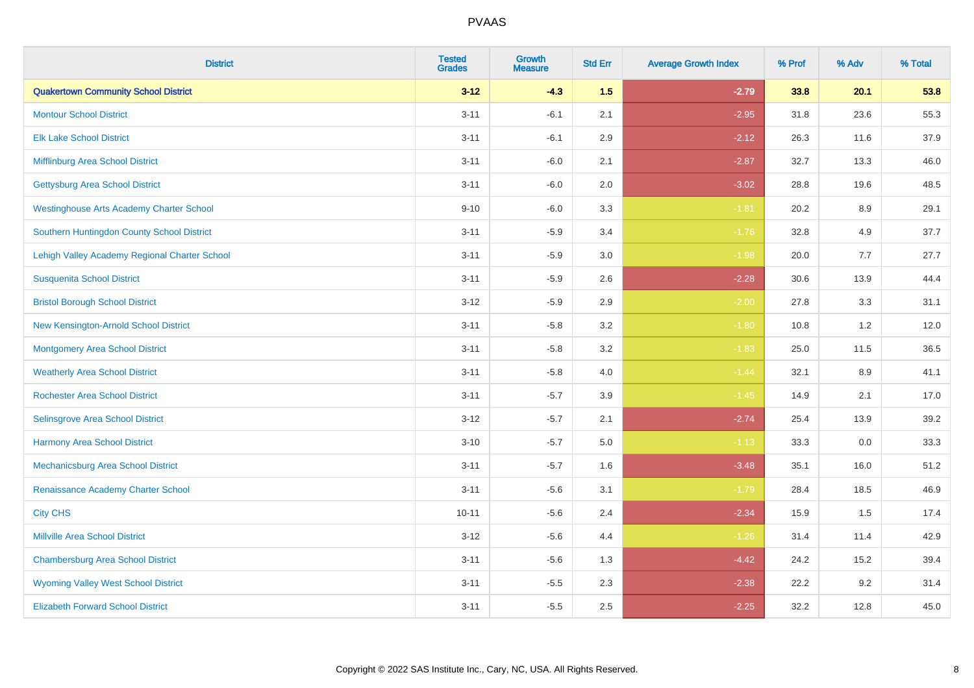| <b>District</b>                                 | <b>Tested</b><br><b>Grades</b> | <b>Growth</b><br><b>Measure</b> | <b>Std Err</b> | <b>Average Growth Index</b> | % Prof | % Adv   | % Total |
|-------------------------------------------------|--------------------------------|---------------------------------|----------------|-----------------------------|--------|---------|---------|
| <b>Quakertown Community School District</b>     | $3 - 12$                       | $-4.3$                          | 1.5            | $-2.79$                     | 33.8   | 20.1    | 53.8    |
| <b>Montour School District</b>                  | $3 - 11$                       | $-6.1$                          | 2.1            | $-2.95$                     | 31.8   | 23.6    | 55.3    |
| <b>Elk Lake School District</b>                 | $3 - 11$                       | $-6.1$                          | 2.9            | $-2.12$                     | 26.3   | 11.6    | 37.9    |
| Mifflinburg Area School District                | $3 - 11$                       | $-6.0$                          | 2.1            | $-2.87$                     | 32.7   | 13.3    | 46.0    |
| <b>Gettysburg Area School District</b>          | $3 - 11$                       | $-6.0$                          | 2.0            | $-3.02$                     | 28.8   | 19.6    | 48.5    |
| <b>Westinghouse Arts Academy Charter School</b> | $9 - 10$                       | $-6.0$                          | 3.3            | $-1.81$                     | 20.2   | $8.9\,$ | 29.1    |
| Southern Huntingdon County School District      | $3 - 11$                       | $-5.9$                          | 3.4            | $-1.76$                     | 32.8   | 4.9     | 37.7    |
| Lehigh Valley Academy Regional Charter School   | $3 - 11$                       | $-5.9$                          | 3.0            | $-1.98$                     | 20.0   | 7.7     | 27.7    |
| <b>Susquenita School District</b>               | $3 - 11$                       | $-5.9$                          | 2.6            | $-2.28$                     | 30.6   | 13.9    | 44.4    |
| <b>Bristol Borough School District</b>          | $3 - 12$                       | $-5.9$                          | 2.9            | $-2.00$                     | 27.8   | 3.3     | 31.1    |
| New Kensington-Arnold School District           | $3 - 11$                       | $-5.8$                          | 3.2            | $-1.80$                     | 10.8   | 1.2     | 12.0    |
| <b>Montgomery Area School District</b>          | $3 - 11$                       | $-5.8$                          | 3.2            | $-1.83$                     | 25.0   | 11.5    | 36.5    |
| <b>Weatherly Area School District</b>           | $3 - 11$                       | $-5.8$                          | $4.0\,$        | $-1.44$                     | 32.1   | 8.9     | 41.1    |
| <b>Rochester Area School District</b>           | $3 - 11$                       | $-5.7$                          | 3.9            | $-1.45$                     | 14.9   | 2.1     | 17.0    |
| <b>Selinsgrove Area School District</b>         | $3 - 12$                       | $-5.7$                          | 2.1            | $-2.74$                     | 25.4   | 13.9    | 39.2    |
| <b>Harmony Area School District</b>             | $3 - 10$                       | $-5.7$                          | 5.0            | $-1.13$                     | 33.3   | $0.0\,$ | 33.3    |
| Mechanicsburg Area School District              | $3 - 11$                       | $-5.7$                          | 1.6            | $-3.48$                     | 35.1   | 16.0    | 51.2    |
| Renaissance Academy Charter School              | $3 - 11$                       | $-5.6$                          | 3.1            | $-1.79$                     | 28.4   | 18.5    | 46.9    |
| <b>City CHS</b>                                 | $10 - 11$                      | $-5.6$                          | 2.4            | $-2.34$                     | 15.9   | 1.5     | 17.4    |
| <b>Millville Area School District</b>           | $3 - 12$                       | $-5.6$                          | 4.4            | $-1.26$                     | 31.4   | 11.4    | 42.9    |
| <b>Chambersburg Area School District</b>        | $3 - 11$                       | $-5.6$                          | 1.3            | $-4.42$                     | 24.2   | 15.2    | 39.4    |
| <b>Wyoming Valley West School District</b>      | $3 - 11$                       | $-5.5$                          | 2.3            | $-2.38$                     | 22.2   | 9.2     | 31.4    |
| <b>Elizabeth Forward School District</b>        | $3 - 11$                       | $-5.5$                          | 2.5            | $-2.25$                     | 32.2   | 12.8    | 45.0    |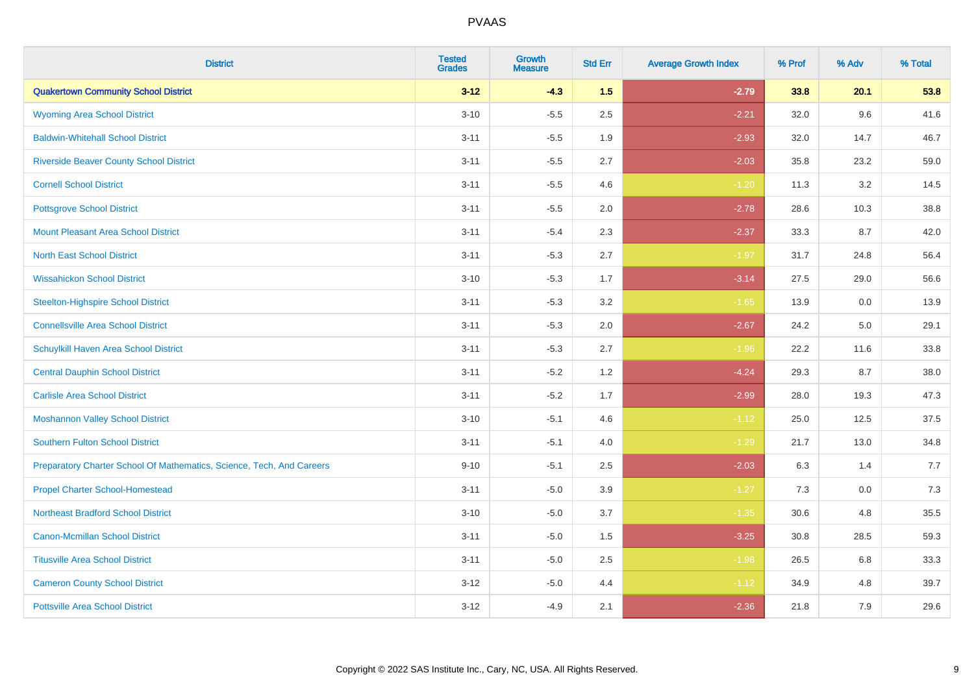| <b>District</b>                                                       | <b>Tested</b><br><b>Grades</b> | Growth<br><b>Measure</b> | <b>Std Err</b> | <b>Average Growth Index</b> | % Prof | % Adv | % Total |
|-----------------------------------------------------------------------|--------------------------------|--------------------------|----------------|-----------------------------|--------|-------|---------|
| <b>Quakertown Community School District</b>                           | $3 - 12$                       | $-4.3$                   | 1.5            | $-2.79$                     | 33.8   | 20.1  | 53.8    |
| <b>Wyoming Area School District</b>                                   | $3 - 10$                       | $-5.5$                   | 2.5            | $-2.21$                     | 32.0   | 9.6   | 41.6    |
| <b>Baldwin-Whitehall School District</b>                              | $3 - 11$                       | $-5.5$                   | 1.9            | $-2.93$                     | 32.0   | 14.7  | 46.7    |
| <b>Riverside Beaver County School District</b>                        | $3 - 11$                       | $-5.5$                   | 2.7            | $-2.03$                     | 35.8   | 23.2  | 59.0    |
| <b>Cornell School District</b>                                        | $3 - 11$                       | $-5.5$                   | 4.6            | $-1.20$                     | 11.3   | 3.2   | 14.5    |
| <b>Pottsgrove School District</b>                                     | $3 - 11$                       | $-5.5$                   | 2.0            | $-2.78$                     | 28.6   | 10.3  | 38.8    |
| <b>Mount Pleasant Area School District</b>                            | $3 - 11$                       | $-5.4$                   | 2.3            | $-2.37$                     | 33.3   | 8.7   | 42.0    |
| <b>North East School District</b>                                     | $3 - 11$                       | $-5.3$                   | 2.7            | $-1.97$                     | 31.7   | 24.8  | 56.4    |
| <b>Wissahickon School District</b>                                    | $3 - 10$                       | $-5.3$                   | 1.7            | $-3.14$                     | 27.5   | 29.0  | 56.6    |
| <b>Steelton-Highspire School District</b>                             | $3 - 11$                       | $-5.3$                   | 3.2            | $-1.65$                     | 13.9   | 0.0   | 13.9    |
| <b>Connellsville Area School District</b>                             | $3 - 11$                       | $-5.3$                   | 2.0            | $-2.67$                     | 24.2   | 5.0   | 29.1    |
| Schuylkill Haven Area School District                                 | $3 - 11$                       | $-5.3$                   | 2.7            | $-1.96$                     | 22.2   | 11.6  | 33.8    |
| <b>Central Dauphin School District</b>                                | $3 - 11$                       | $-5.2$                   | 1.2            | $-4.24$                     | 29.3   | 8.7   | 38.0    |
| <b>Carlisle Area School District</b>                                  | $3 - 11$                       | $-5.2$                   | 1.7            | $-2.99$                     | 28.0   | 19.3  | 47.3    |
| <b>Moshannon Valley School District</b>                               | $3 - 10$                       | $-5.1$                   | 4.6            | $-1.12$                     | 25.0   | 12.5  | 37.5    |
| <b>Southern Fulton School District</b>                                | $3 - 11$                       | $-5.1$                   | 4.0            | $-1.29$                     | 21.7   | 13.0  | 34.8    |
| Preparatory Charter School Of Mathematics, Science, Tech, And Careers | $9 - 10$                       | $-5.1$                   | 2.5            | $-2.03$                     | 6.3    | 1.4   | 7.7     |
| <b>Propel Charter School-Homestead</b>                                | $3 - 11$                       | $-5.0$                   | 3.9            | $-1.27$                     | 7.3    | 0.0   | 7.3     |
| <b>Northeast Bradford School District</b>                             | $3 - 10$                       | $-5.0$                   | 3.7            | $-1.35$                     | 30.6   | 4.8   | 35.5    |
| <b>Canon-Mcmillan School District</b>                                 | $3 - 11$                       | $-5.0$                   | 1.5            | $-3.25$                     | 30.8   | 28.5  | 59.3    |
| <b>Titusville Area School District</b>                                | $3 - 11$                       | $-5.0$                   | 2.5            | $-1.98$                     | 26.5   | 6.8   | 33.3    |
| <b>Cameron County School District</b>                                 | $3 - 12$                       | $-5.0$                   | 4.4            | $-1.12$                     | 34.9   | 4.8   | 39.7    |
| <b>Pottsville Area School District</b>                                | $3 - 12$                       | $-4.9$                   | 2.1            | $-2.36$                     | 21.8   | 7.9   | 29.6    |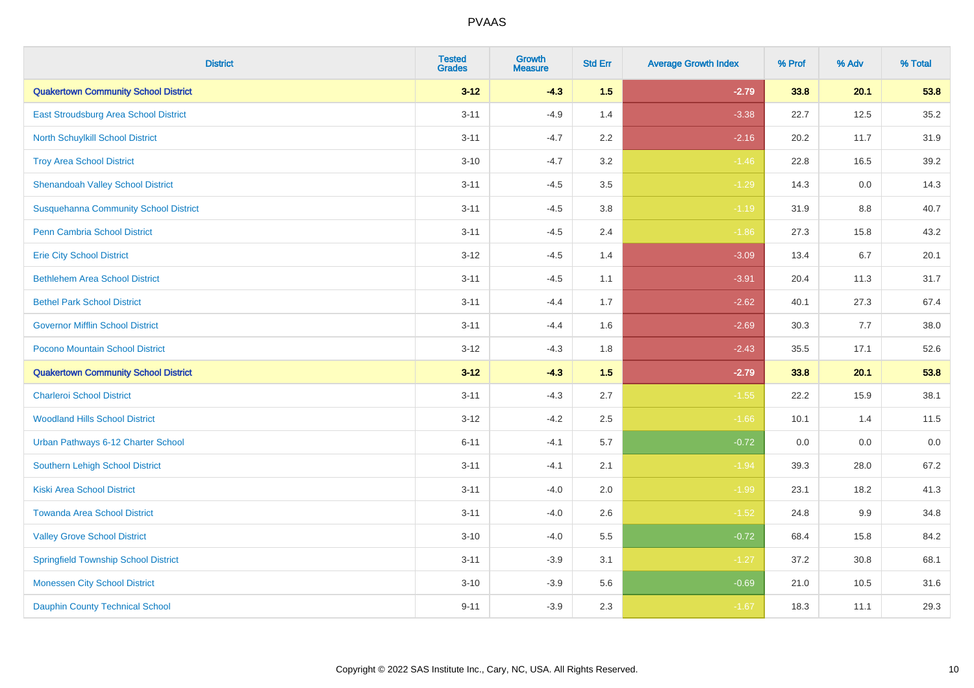| <b>District</b>                              | <b>Tested</b><br><b>Grades</b> | <b>Growth</b><br><b>Measure</b> | <b>Std Err</b> | <b>Average Growth Index</b> | % Prof | % Adv   | % Total |
|----------------------------------------------|--------------------------------|---------------------------------|----------------|-----------------------------|--------|---------|---------|
| <b>Quakertown Community School District</b>  | $3 - 12$                       | $-4.3$                          | 1.5            | $-2.79$                     | 33.8   | 20.1    | 53.8    |
| East Stroudsburg Area School District        | $3 - 11$                       | $-4.9$                          | 1.4            | $-3.38$                     | 22.7   | 12.5    | 35.2    |
| <b>North Schuylkill School District</b>      | $3 - 11$                       | $-4.7$                          | 2.2            | $-2.16$                     | 20.2   | 11.7    | 31.9    |
| <b>Troy Area School District</b>             | $3 - 10$                       | $-4.7$                          | 3.2            | $-1.46$                     | 22.8   | 16.5    | 39.2    |
| <b>Shenandoah Valley School District</b>     | $3 - 11$                       | $-4.5$                          | 3.5            | $-1.29$                     | 14.3   | 0.0     | 14.3    |
| <b>Susquehanna Community School District</b> | $3 - 11$                       | $-4.5$                          | 3.8            | $-1.19$                     | 31.9   | 8.8     | 40.7    |
| <b>Penn Cambria School District</b>          | $3 - 11$                       | $-4.5$                          | 2.4            | $-1.86$                     | 27.3   | 15.8    | 43.2    |
| <b>Erie City School District</b>             | $3 - 12$                       | $-4.5$                          | 1.4            | $-3.09$                     | 13.4   | 6.7     | 20.1    |
| <b>Bethlehem Area School District</b>        | $3 - 11$                       | $-4.5$                          | 1.1            | $-3.91$                     | 20.4   | 11.3    | 31.7    |
| <b>Bethel Park School District</b>           | $3 - 11$                       | $-4.4$                          | 1.7            | $-2.62$                     | 40.1   | 27.3    | 67.4    |
| <b>Governor Mifflin School District</b>      | $3 - 11$                       | $-4.4$                          | 1.6            | $-2.69$                     | 30.3   | 7.7     | 38.0    |
| Pocono Mountain School District              | $3 - 12$                       | $-4.3$                          | 1.8            | $-2.43$                     | 35.5   | 17.1    | 52.6    |
| <b>Quakertown Community School District</b>  | $3 - 12$                       | $-4.3$                          | 1.5            | $-2.79$                     | 33.8   | 20.1    | 53.8    |
| <b>Charleroi School District</b>             | $3 - 11$                       | $-4.3$                          | 2.7            | $-1.55$                     | 22.2   | 15.9    | 38.1    |
| <b>Woodland Hills School District</b>        | $3 - 12$                       | $-4.2$                          | 2.5            | $-1.66$                     | 10.1   | 1.4     | 11.5    |
| Urban Pathways 6-12 Charter School           | $6 - 11$                       | $-4.1$                          | 5.7            | $-0.72$                     | 0.0    | $0.0\,$ | $0.0\,$ |
| <b>Southern Lehigh School District</b>       | $3 - 11$                       | $-4.1$                          | 2.1            | $-1.94$                     | 39.3   | 28.0    | 67.2    |
| <b>Kiski Area School District</b>            | $3 - 11$                       | $-4.0$                          | 2.0            | $-1.99$                     | 23.1   | 18.2    | 41.3    |
| <b>Towanda Area School District</b>          | $3 - 11$                       | $-4.0$                          | 2.6            | $-1.52$                     | 24.8   | 9.9     | 34.8    |
| <b>Valley Grove School District</b>          | $3 - 10$                       | $-4.0$                          | 5.5            | $-0.72$                     | 68.4   | 15.8    | 84.2    |
| <b>Springfield Township School District</b>  | $3 - 11$                       | $-3.9$                          | 3.1            | $-1.27$                     | 37.2   | 30.8    | 68.1    |
| <b>Monessen City School District</b>         | $3 - 10$                       | $-3.9$                          | 5.6            | $-0.69$                     | 21.0   | 10.5    | 31.6    |
| <b>Dauphin County Technical School</b>       | $9 - 11$                       | $-3.9$                          | 2.3            | $-1.67$                     | 18.3   | 11.1    | 29.3    |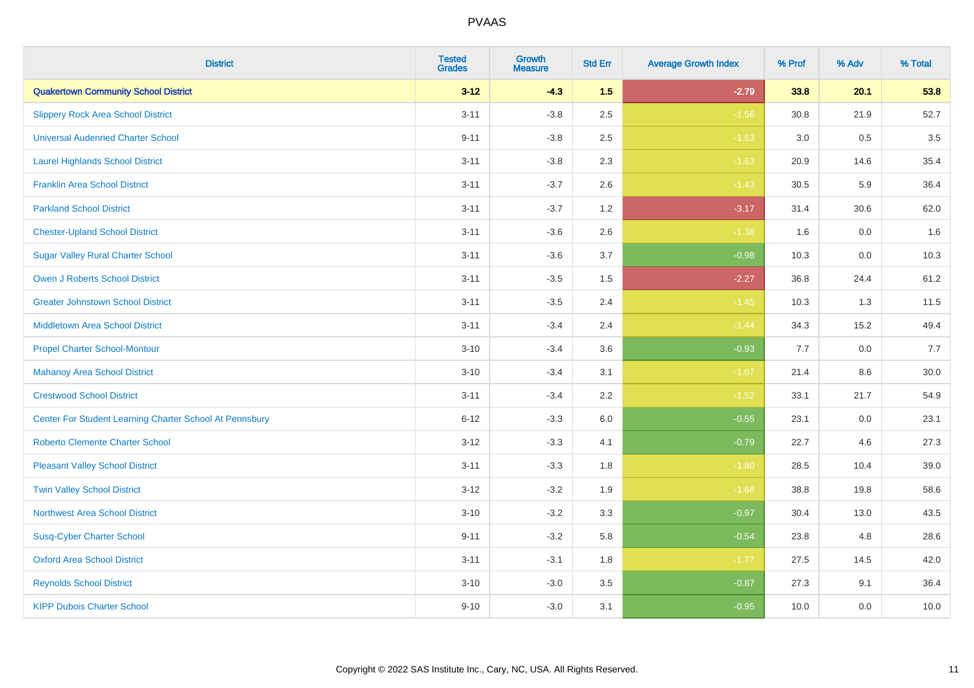| <b>District</b>                                         | <b>Tested</b><br><b>Grades</b> | Growth<br><b>Measure</b> | <b>Std Err</b> | <b>Average Growth Index</b> | % Prof | % Adv | % Total |
|---------------------------------------------------------|--------------------------------|--------------------------|----------------|-----------------------------|--------|-------|---------|
| <b>Quakertown Community School District</b>             | $3 - 12$                       | $-4.3$                   | 1.5            | $-2.79$                     | 33.8   | 20.1  | 53.8    |
| <b>Slippery Rock Area School District</b>               | $3 - 11$                       | $-3.8$                   | 2.5            | $-1.56$                     | 30.8   | 21.9  | 52.7    |
| <b>Universal Audenried Charter School</b>               | $9 - 11$                       | $-3.8$                   | 2.5            | $-1.53$                     | 3.0    | 0.5   | 3.5     |
| <b>Laurel Highlands School District</b>                 | $3 - 11$                       | $-3.8$                   | 2.3            | $-1.63$                     | 20.9   | 14.6  | 35.4    |
| <b>Franklin Area School District</b>                    | $3 - 11$                       | $-3.7$                   | 2.6            | $-1.43$                     | 30.5   | 5.9   | 36.4    |
| <b>Parkland School District</b>                         | $3 - 11$                       | $-3.7$                   | 1.2            | $-3.17$                     | 31.4   | 30.6  | 62.0    |
| <b>Chester-Upland School District</b>                   | $3 - 11$                       | $-3.6$                   | 2.6            | $-1.38$                     | 1.6    | 0.0   | 1.6     |
| <b>Sugar Valley Rural Charter School</b>                | $3 - 11$                       | $-3.6$                   | 3.7            | $-0.98$                     | 10.3   | 0.0   | 10.3    |
| <b>Owen J Roberts School District</b>                   | $3 - 11$                       | $-3.5$                   | 1.5            | $-2.27$                     | 36.8   | 24.4  | 61.2    |
| <b>Greater Johnstown School District</b>                | $3 - 11$                       | $-3.5$                   | 2.4            | $-1.45$                     | 10.3   | 1.3   | 11.5    |
| <b>Middletown Area School District</b>                  | $3 - 11$                       | $-3.4$                   | 2.4            | $-1.44$                     | 34.3   | 15.2  | 49.4    |
| <b>Propel Charter School-Montour</b>                    | $3 - 10$                       | $-3.4$                   | 3.6            | $-0.93$                     | 7.7    | 0.0   | 7.7     |
| <b>Mahanoy Area School District</b>                     | $3 - 10$                       | $-3.4$                   | 3.1            | $-1.07$                     | 21.4   | 8.6   | 30.0    |
| <b>Crestwood School District</b>                        | $3 - 11$                       | $-3.4$                   | 2.2            | $-1.52$                     | 33.1   | 21.7  | 54.9    |
| Center For Student Learning Charter School At Pennsbury | $6 - 12$                       | $-3.3$                   | 6.0            | $-0.55$                     | 23.1   | 0.0   | 23.1    |
| <b>Roberto Clemente Charter School</b>                  | $3 - 12$                       | $-3.3$                   | 4.1            | $-0.79$                     | 22.7   | 4.6   | 27.3    |
| <b>Pleasant Valley School District</b>                  | $3 - 11$                       | $-3.3$                   | 1.8            | $-1.80$                     | 28.5   | 10.4  | 39.0    |
| <b>Twin Valley School District</b>                      | $3 - 12$                       | $-3.2$                   | 1.9            | $-1.68$                     | 38.8   | 19.8  | 58.6    |
| <b>Northwest Area School District</b>                   | $3 - 10$                       | $-3.2$                   | 3.3            | $-0.97$                     | 30.4   | 13.0  | 43.5    |
| <b>Susq-Cyber Charter School</b>                        | $9 - 11$                       | $-3.2$                   | 5.8            | $-0.54$                     | 23.8   | 4.8   | 28.6    |
| <b>Oxford Area School District</b>                      | $3 - 11$                       | $-3.1$                   | 1.8            | $-1.77$                     | 27.5   | 14.5  | 42.0    |
| <b>Reynolds School District</b>                         | $3 - 10$                       | $-3.0$                   | 3.5            | $-0.87$                     | 27.3   | 9.1   | 36.4    |
| <b>KIPP Dubois Charter School</b>                       | $9 - 10$                       | $-3.0$                   | 3.1            | $-0.95$                     | 10.0   | 0.0   | 10.0    |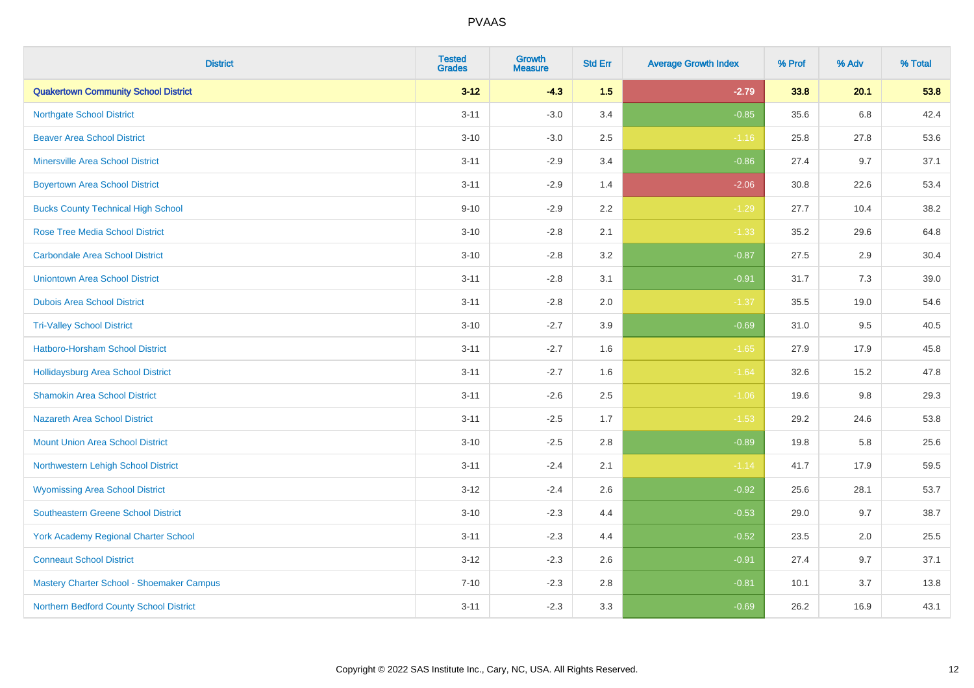| <b>District</b>                             | <b>Tested</b><br><b>Grades</b> | <b>Growth</b><br><b>Measure</b> | <b>Std Err</b> | <b>Average Growth Index</b> | % Prof | % Adv | % Total |
|---------------------------------------------|--------------------------------|---------------------------------|----------------|-----------------------------|--------|-------|---------|
| <b>Quakertown Community School District</b> | $3 - 12$                       | $-4.3$                          | 1.5            | $-2.79$                     | 33.8   | 20.1  | 53.8    |
| <b>Northgate School District</b>            | $3 - 11$                       | $-3.0$                          | 3.4            | $-0.85$                     | 35.6   | 6.8   | 42.4    |
| <b>Beaver Area School District</b>          | $3 - 10$                       | $-3.0$                          | 2.5            | $-1.16$                     | 25.8   | 27.8  | 53.6    |
| <b>Minersville Area School District</b>     | $3 - 11$                       | $-2.9$                          | 3.4            | $-0.86$                     | 27.4   | 9.7   | 37.1    |
| <b>Boyertown Area School District</b>       | $3 - 11$                       | $-2.9$                          | 1.4            | $-2.06$                     | 30.8   | 22.6  | 53.4    |
| <b>Bucks County Technical High School</b>   | $9 - 10$                       | $-2.9$                          | 2.2            | $-1.29$                     | 27.7   | 10.4  | 38.2    |
| <b>Rose Tree Media School District</b>      | $3 - 10$                       | $-2.8$                          | 2.1            | $-1.33$                     | 35.2   | 29.6  | 64.8    |
| <b>Carbondale Area School District</b>      | $3 - 10$                       | $-2.8$                          | 3.2            | $-0.87$                     | 27.5   | 2.9   | 30.4    |
| <b>Uniontown Area School District</b>       | $3 - 11$                       | $-2.8$                          | 3.1            | $-0.91$                     | 31.7   | 7.3   | 39.0    |
| <b>Dubois Area School District</b>          | $3 - 11$                       | $-2.8$                          | 2.0            | $-1.37$                     | 35.5   | 19.0  | 54.6    |
| <b>Tri-Valley School District</b>           | $3 - 10$                       | $-2.7$                          | 3.9            | $-0.69$                     | 31.0   | 9.5   | 40.5    |
| Hatboro-Horsham School District             | $3 - 11$                       | $-2.7$                          | 1.6            | $-1.65$                     | 27.9   | 17.9  | 45.8    |
| Hollidaysburg Area School District          | $3 - 11$                       | $-2.7$                          | 1.6            | $-1.64$                     | 32.6   | 15.2  | 47.8    |
| <b>Shamokin Area School District</b>        | $3 - 11$                       | $-2.6$                          | 2.5            | $-1.06$                     | 19.6   | 9.8   | 29.3    |
| <b>Nazareth Area School District</b>        | $3 - 11$                       | $-2.5$                          | 1.7            | $-1.53$                     | 29.2   | 24.6  | 53.8    |
| <b>Mount Union Area School District</b>     | $3 - 10$                       | $-2.5$                          | 2.8            | $-0.89$                     | 19.8   | 5.8   | 25.6    |
| Northwestern Lehigh School District         | $3 - 11$                       | $-2.4$                          | 2.1            | $-1.14$                     | 41.7   | 17.9  | 59.5    |
| <b>Wyomissing Area School District</b>      | $3-12$                         | $-2.4$                          | 2.6            | $-0.92$                     | 25.6   | 28.1  | 53.7    |
| <b>Southeastern Greene School District</b>  | $3 - 10$                       | $-2.3$                          | 4.4            | $-0.53$                     | 29.0   | 9.7   | 38.7    |
| <b>York Academy Regional Charter School</b> | $3 - 11$                       | $-2.3$                          | 4.4            | $-0.52$                     | 23.5   | 2.0   | 25.5    |
| <b>Conneaut School District</b>             | $3 - 12$                       | $-2.3$                          | 2.6            | $-0.91$                     | 27.4   | 9.7   | 37.1    |
| Mastery Charter School - Shoemaker Campus   | $7 - 10$                       | $-2.3$                          | 2.8            | $-0.81$                     | 10.1   | 3.7   | 13.8    |
| Northern Bedford County School District     | $3 - 11$                       | $-2.3$                          | 3.3            | $-0.69$                     | 26.2   | 16.9  | 43.1    |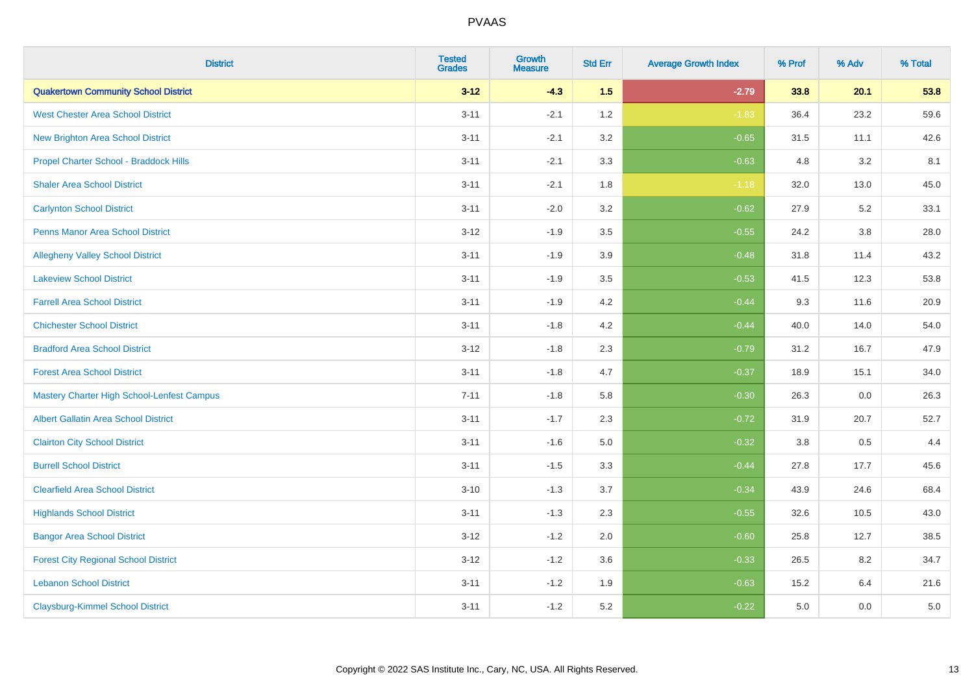| <b>District</b>                                   | <b>Tested</b><br><b>Grades</b> | <b>Growth</b><br><b>Measure</b> | <b>Std Err</b> | <b>Average Growth Index</b> | % Prof | % Adv   | % Total |
|---------------------------------------------------|--------------------------------|---------------------------------|----------------|-----------------------------|--------|---------|---------|
| <b>Quakertown Community School District</b>       | $3 - 12$                       | $-4.3$                          | 1.5            | $-2.79$                     | 33.8   | 20.1    | 53.8    |
| <b>West Chester Area School District</b>          | $3 - 11$                       | $-2.1$                          | 1.2            | $-1.83$                     | 36.4   | 23.2    | 59.6    |
| <b>New Brighton Area School District</b>          | $3 - 11$                       | $-2.1$                          | 3.2            | $-0.65$                     | 31.5   | 11.1    | 42.6    |
| Propel Charter School - Braddock Hills            | $3 - 11$                       | $-2.1$                          | 3.3            | $-0.63$                     | 4.8    | 3.2     | 8.1     |
| <b>Shaler Area School District</b>                | $3 - 11$                       | $-2.1$                          | 1.8            | $-1.18$                     | 32.0   | 13.0    | 45.0    |
| <b>Carlynton School District</b>                  | $3 - 11$                       | $-2.0$                          | 3.2            | $-0.62$                     | 27.9   | 5.2     | 33.1    |
| <b>Penns Manor Area School District</b>           | $3 - 12$                       | $-1.9$                          | 3.5            | $-0.55$                     | 24.2   | $3.8\,$ | 28.0    |
| <b>Allegheny Valley School District</b>           | $3 - 11$                       | $-1.9$                          | 3.9            | $-0.48$                     | 31.8   | 11.4    | 43.2    |
| <b>Lakeview School District</b>                   | $3 - 11$                       | $-1.9$                          | 3.5            | $-0.53$                     | 41.5   | 12.3    | 53.8    |
| <b>Farrell Area School District</b>               | $3 - 11$                       | $-1.9$                          | 4.2            | $-0.44$                     | 9.3    | 11.6    | 20.9    |
| <b>Chichester School District</b>                 | $3 - 11$                       | $-1.8$                          | 4.2            | $-0.44$                     | 40.0   | 14.0    | 54.0    |
| <b>Bradford Area School District</b>              | $3 - 12$                       | $-1.8$                          | 2.3            | $-0.79$                     | 31.2   | 16.7    | 47.9    |
| <b>Forest Area School District</b>                | $3 - 11$                       | $-1.8$                          | 4.7            | $-0.37$                     | 18.9   | 15.1    | 34.0    |
| <b>Mastery Charter High School-Lenfest Campus</b> | $7 - 11$                       | $-1.8$                          | 5.8            | $-0.30$                     | 26.3   | 0.0     | 26.3    |
| <b>Albert Gallatin Area School District</b>       | $3 - 11$                       | $-1.7$                          | 2.3            | $-0.72$                     | 31.9   | 20.7    | 52.7    |
| <b>Clairton City School District</b>              | $3 - 11$                       | $-1.6$                          | 5.0            | $-0.32$                     | 3.8    | 0.5     | 4.4     |
| <b>Burrell School District</b>                    | $3 - 11$                       | $-1.5$                          | 3.3            | $-0.44$                     | 27.8   | 17.7    | 45.6    |
| <b>Clearfield Area School District</b>            | $3 - 10$                       | $-1.3$                          | 3.7            | $-0.34$                     | 43.9   | 24.6    | 68.4    |
| <b>Highlands School District</b>                  | $3 - 11$                       | $-1.3$                          | 2.3            | $-0.55$                     | 32.6   | 10.5    | 43.0    |
| <b>Bangor Area School District</b>                | $3 - 12$                       | $-1.2$                          | 2.0            | $-0.60$                     | 25.8   | 12.7    | 38.5    |
| <b>Forest City Regional School District</b>       | $3 - 12$                       | $-1.2$                          | 3.6            | $-0.33$                     | 26.5   | 8.2     | 34.7    |
| <b>Lebanon School District</b>                    | $3 - 11$                       | $-1.2$                          | 1.9            | $-0.63$                     | 15.2   | 6.4     | 21.6    |
| <b>Claysburg-Kimmel School District</b>           | $3 - 11$                       | $-1.2$                          | 5.2            | $-0.22$                     | 5.0    | 0.0     | 5.0     |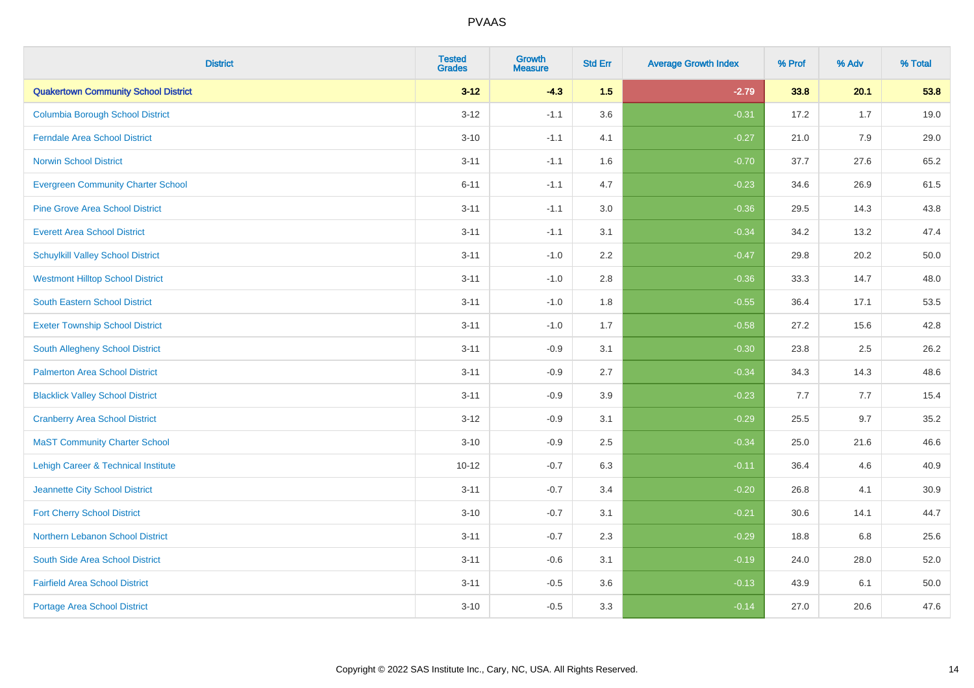| <b>District</b>                             | <b>Tested</b><br><b>Grades</b> | <b>Growth</b><br><b>Measure</b> | <b>Std Err</b> | <b>Average Growth Index</b> | % Prof | % Adv | % Total |
|---------------------------------------------|--------------------------------|---------------------------------|----------------|-----------------------------|--------|-------|---------|
| <b>Quakertown Community School District</b> | $3 - 12$                       | $-4.3$                          | 1.5            | $-2.79$                     | 33.8   | 20.1  | 53.8    |
| <b>Columbia Borough School District</b>     | $3 - 12$                       | $-1.1$                          | 3.6            | $-0.31$                     | 17.2   | 1.7   | 19.0    |
| <b>Ferndale Area School District</b>        | $3 - 10$                       | $-1.1$                          | 4.1            | $-0.27$                     | 21.0   | 7.9   | 29.0    |
| <b>Norwin School District</b>               | $3 - 11$                       | $-1.1$                          | 1.6            | $-0.70$                     | 37.7   | 27.6  | 65.2    |
| <b>Evergreen Community Charter School</b>   | $6 - 11$                       | $-1.1$                          | 4.7            | $-0.23$                     | 34.6   | 26.9  | 61.5    |
| <b>Pine Grove Area School District</b>      | $3 - 11$                       | $-1.1$                          | 3.0            | $-0.36$                     | 29.5   | 14.3  | 43.8    |
| <b>Everett Area School District</b>         | $3 - 11$                       | $-1.1$                          | 3.1            | $-0.34$                     | 34.2   | 13.2  | 47.4    |
| <b>Schuylkill Valley School District</b>    | $3 - 11$                       | $-1.0$                          | 2.2            | $-0.47$                     | 29.8   | 20.2  | 50.0    |
| <b>Westmont Hilltop School District</b>     | $3 - 11$                       | $-1.0$                          | 2.8            | $-0.36$                     | 33.3   | 14.7  | 48.0    |
| South Eastern School District               | $3 - 11$                       | $-1.0$                          | 1.8            | $-0.55$                     | 36.4   | 17.1  | 53.5    |
| <b>Exeter Township School District</b>      | $3 - 11$                       | $-1.0$                          | 1.7            | $-0.58$                     | 27.2   | 15.6  | 42.8    |
| South Allegheny School District             | $3 - 11$                       | $-0.9$                          | 3.1            | $-0.30$                     | 23.8   | 2.5   | 26.2    |
| <b>Palmerton Area School District</b>       | $3 - 11$                       | $-0.9$                          | 2.7            | $-0.34$                     | 34.3   | 14.3  | 48.6    |
| <b>Blacklick Valley School District</b>     | $3 - 11$                       | $-0.9$                          | 3.9            | $-0.23$                     | 7.7    | 7.7   | 15.4    |
| <b>Cranberry Area School District</b>       | $3 - 12$                       | $-0.9$                          | 3.1            | $-0.29$                     | 25.5   | 9.7   | 35.2    |
| <b>MaST Community Charter School</b>        | $3 - 10$                       | $-0.9$                          | 2.5            | $-0.34$                     | 25.0   | 21.6  | 46.6    |
| Lehigh Career & Technical Institute         | $10 - 12$                      | $-0.7$                          | 6.3            | $-0.11$                     | 36.4   | 4.6   | 40.9    |
| Jeannette City School District              | $3 - 11$                       | $-0.7$                          | 3.4            | $-0.20$                     | 26.8   | 4.1   | 30.9    |
| <b>Fort Cherry School District</b>          | $3 - 10$                       | $-0.7$                          | 3.1            | $-0.21$                     | 30.6   | 14.1  | 44.7    |
| Northern Lebanon School District            | $3 - 11$                       | $-0.7$                          | 2.3            | $-0.29$                     | 18.8   | 6.8   | 25.6    |
| South Side Area School District             | $3 - 11$                       | $-0.6$                          | 3.1            | $-0.19$                     | 24.0   | 28.0  | 52.0    |
| <b>Fairfield Area School District</b>       | $3 - 11$                       | $-0.5$                          | 3.6            | $-0.13$                     | 43.9   | 6.1   | 50.0    |
| <b>Portage Area School District</b>         | $3 - 10$                       | $-0.5$                          | 3.3            | $-0.14$                     | 27.0   | 20.6  | 47.6    |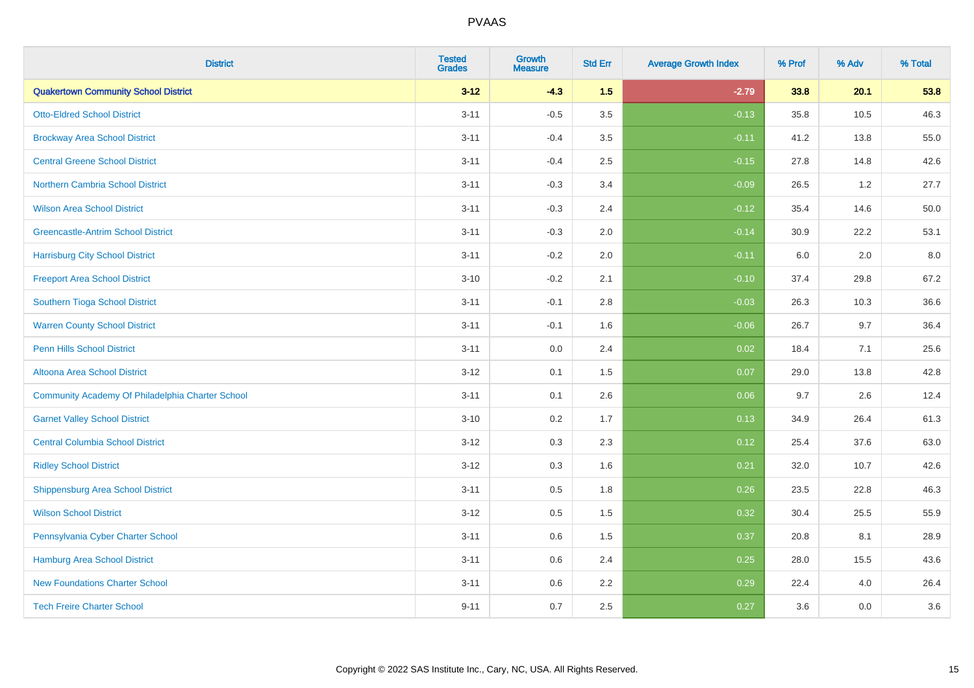| <b>District</b>                                  | <b>Tested</b><br><b>Grades</b> | Growth<br><b>Measure</b> | <b>Std Err</b> | <b>Average Growth Index</b> | % Prof | % Adv | % Total |
|--------------------------------------------------|--------------------------------|--------------------------|----------------|-----------------------------|--------|-------|---------|
| <b>Quakertown Community School District</b>      | $3 - 12$                       | $-4.3$                   | 1.5            | $-2.79$                     | 33.8   | 20.1  | 53.8    |
| <b>Otto-Eldred School District</b>               | $3 - 11$                       | $-0.5$                   | 3.5            | $-0.13$                     | 35.8   | 10.5  | 46.3    |
| <b>Brockway Area School District</b>             | $3 - 11$                       | $-0.4$                   | 3.5            | $-0.11$                     | 41.2   | 13.8  | 55.0    |
| <b>Central Greene School District</b>            | $3 - 11$                       | $-0.4$                   | 2.5            | $-0.15$                     | 27.8   | 14.8  | 42.6    |
| Northern Cambria School District                 | $3 - 11$                       | $-0.3$                   | 3.4            | $-0.09$                     | 26.5   | 1.2   | 27.7    |
| <b>Wilson Area School District</b>               | $3 - 11$                       | $-0.3$                   | 2.4            | $-0.12$                     | 35.4   | 14.6  | 50.0    |
| <b>Greencastle-Antrim School District</b>        | $3 - 11$                       | $-0.3$                   | 2.0            | $-0.14$                     | 30.9   | 22.2  | 53.1    |
| <b>Harrisburg City School District</b>           | $3 - 11$                       | $-0.2$                   | 2.0            | $-0.11$                     | 6.0    | 2.0   | 8.0     |
| <b>Freeport Area School District</b>             | $3 - 10$                       | $-0.2$                   | 2.1            | $-0.10$                     | 37.4   | 29.8  | 67.2    |
| Southern Tioga School District                   | $3 - 11$                       | $-0.1$                   | 2.8            | $-0.03$                     | 26.3   | 10.3  | 36.6    |
| <b>Warren County School District</b>             | $3 - 11$                       | $-0.1$                   | 1.6            | $-0.06$                     | 26.7   | 9.7   | 36.4    |
| <b>Penn Hills School District</b>                | $3 - 11$                       | 0.0                      | 2.4            | 0.02                        | 18.4   | 7.1   | 25.6    |
| Altoona Area School District                     | $3 - 12$                       | 0.1                      | 1.5            | 0.07                        | 29.0   | 13.8  | 42.8    |
| Community Academy Of Philadelphia Charter School | $3 - 11$                       | 0.1                      | 2.6            | 0.06                        | 9.7    | 2.6   | 12.4    |
| <b>Garnet Valley School District</b>             | $3 - 10$                       | 0.2                      | 1.7            | 0.13                        | 34.9   | 26.4  | 61.3    |
| <b>Central Columbia School District</b>          | $3 - 12$                       | 0.3                      | 2.3            | 0.12                        | 25.4   | 37.6  | 63.0    |
| <b>Ridley School District</b>                    | $3 - 12$                       | 0.3                      | 1.6            | 0.21                        | 32.0   | 10.7  | 42.6    |
| <b>Shippensburg Area School District</b>         | $3 - 11$                       | 0.5                      | 1.8            | 0.26                        | 23.5   | 22.8  | 46.3    |
| <b>Wilson School District</b>                    | $3 - 12$                       | 0.5                      | 1.5            | 0.32                        | 30.4   | 25.5  | 55.9    |
| Pennsylvania Cyber Charter School                | $3 - 11$                       | 0.6                      | 1.5            | 0.37                        | 20.8   | 8.1   | 28.9    |
| <b>Hamburg Area School District</b>              | $3 - 11$                       | 0.6                      | 2.4            | 0.25                        | 28.0   | 15.5  | 43.6    |
| <b>New Foundations Charter School</b>            | $3 - 11$                       | 0.6                      | 2.2            | 0.29                        | 22.4   | 4.0   | 26.4    |
| <b>Tech Freire Charter School</b>                | $9 - 11$                       | 0.7                      | 2.5            | 0.27                        | 3.6    | 0.0   | 3.6     |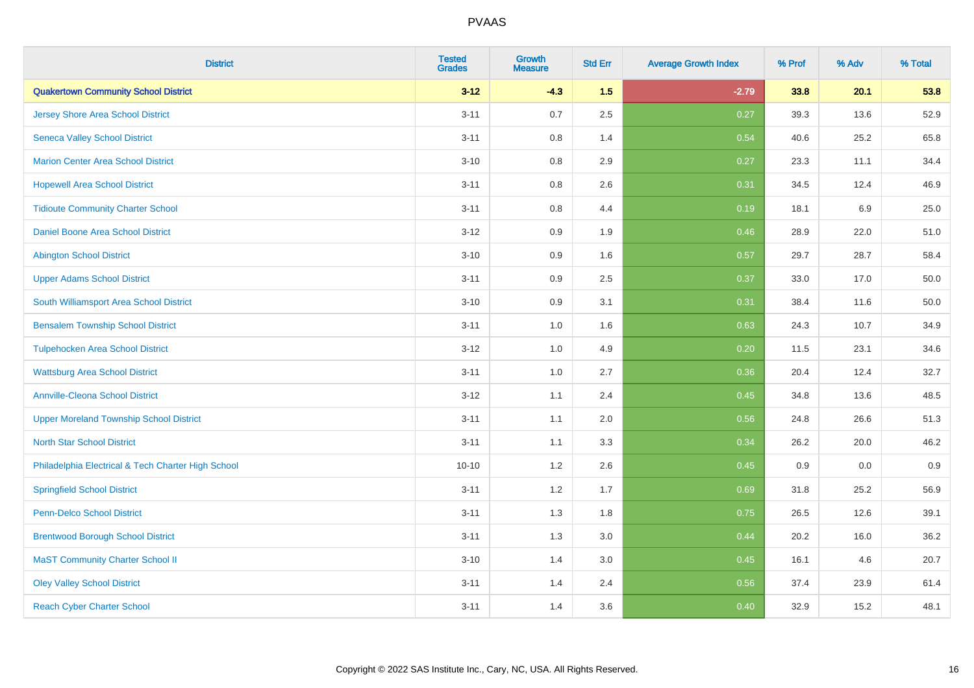| <b>District</b>                                    | <b>Tested</b><br><b>Grades</b> | <b>Growth</b><br><b>Measure</b> | <b>Std Err</b> | <b>Average Growth Index</b> | % Prof | % Adv   | % Total |
|----------------------------------------------------|--------------------------------|---------------------------------|----------------|-----------------------------|--------|---------|---------|
| <b>Quakertown Community School District</b>        | $3 - 12$                       | $-4.3$                          | 1.5            | $-2.79$                     | 33.8   | 20.1    | 53.8    |
| <b>Jersey Shore Area School District</b>           | $3 - 11$                       | 0.7                             | 2.5            | 0.27                        | 39.3   | 13.6    | 52.9    |
| <b>Seneca Valley School District</b>               | $3 - 11$                       | 0.8                             | 1.4            | 0.54                        | 40.6   | 25.2    | 65.8    |
| <b>Marion Center Area School District</b>          | $3 - 10$                       | 0.8                             | 2.9            | 0.27                        | 23.3   | 11.1    | 34.4    |
| <b>Hopewell Area School District</b>               | $3 - 11$                       | 0.8                             | 2.6            | 0.31                        | 34.5   | 12.4    | 46.9    |
| <b>Tidioute Community Charter School</b>           | $3 - 11$                       | 0.8                             | 4.4            | 0.19                        | 18.1   | $6.9\,$ | 25.0    |
| Daniel Boone Area School District                  | $3 - 12$                       | 0.9                             | 1.9            | 0.46                        | 28.9   | 22.0    | 51.0    |
| <b>Abington School District</b>                    | $3 - 10$                       | 0.9                             | 1.6            | 0.57                        | 29.7   | 28.7    | 58.4    |
| <b>Upper Adams School District</b>                 | $3 - 11$                       | 0.9                             | 2.5            | 0.37                        | 33.0   | 17.0    | 50.0    |
| South Williamsport Area School District            | $3 - 10$                       | 0.9                             | 3.1            | 0.31                        | 38.4   | 11.6    | 50.0    |
| <b>Bensalem Township School District</b>           | $3 - 11$                       | 1.0                             | 1.6            | 0.63                        | 24.3   | 10.7    | 34.9    |
| <b>Tulpehocken Area School District</b>            | $3 - 12$                       | 1.0                             | 4.9            | 0.20                        | 11.5   | 23.1    | 34.6    |
| <b>Wattsburg Area School District</b>              | $3 - 11$                       | $1.0\,$                         | 2.7            | 0.36                        | 20.4   | 12.4    | 32.7    |
| <b>Annville-Cleona School District</b>             | $3 - 12$                       | 1.1                             | 2.4            | 0.45                        | 34.8   | 13.6    | 48.5    |
| <b>Upper Moreland Township School District</b>     | $3 - 11$                       | 1.1                             | 2.0            | 0.56                        | 24.8   | 26.6    | 51.3    |
| <b>North Star School District</b>                  | $3 - 11$                       | 1.1                             | 3.3            | 0.34                        | 26.2   | 20.0    | 46.2    |
| Philadelphia Electrical & Tech Charter High School | $10 - 10$                      | 1.2                             | 2.6            | 0.45                        | 0.9    | 0.0     | 0.9     |
| <b>Springfield School District</b>                 | $3 - 11$                       | 1.2                             | 1.7            | 0.69                        | 31.8   | 25.2    | 56.9    |
| <b>Penn-Delco School District</b>                  | $3 - 11$                       | 1.3                             | 1.8            | 0.75                        | 26.5   | 12.6    | 39.1    |
| <b>Brentwood Borough School District</b>           | $3 - 11$                       | 1.3                             | 3.0            | 0.44                        | 20.2   | 16.0    | 36.2    |
| <b>MaST Community Charter School II</b>            | $3 - 10$                       | 1.4                             | 3.0            | 0.45                        | 16.1   | 4.6     | 20.7    |
| <b>Oley Valley School District</b>                 | $3 - 11$                       | 1.4                             | 2.4            | 0.56                        | 37.4   | 23.9    | 61.4    |
| <b>Reach Cyber Charter School</b>                  | $3 - 11$                       | 1.4                             | 3.6            | 0.40                        | 32.9   | 15.2    | 48.1    |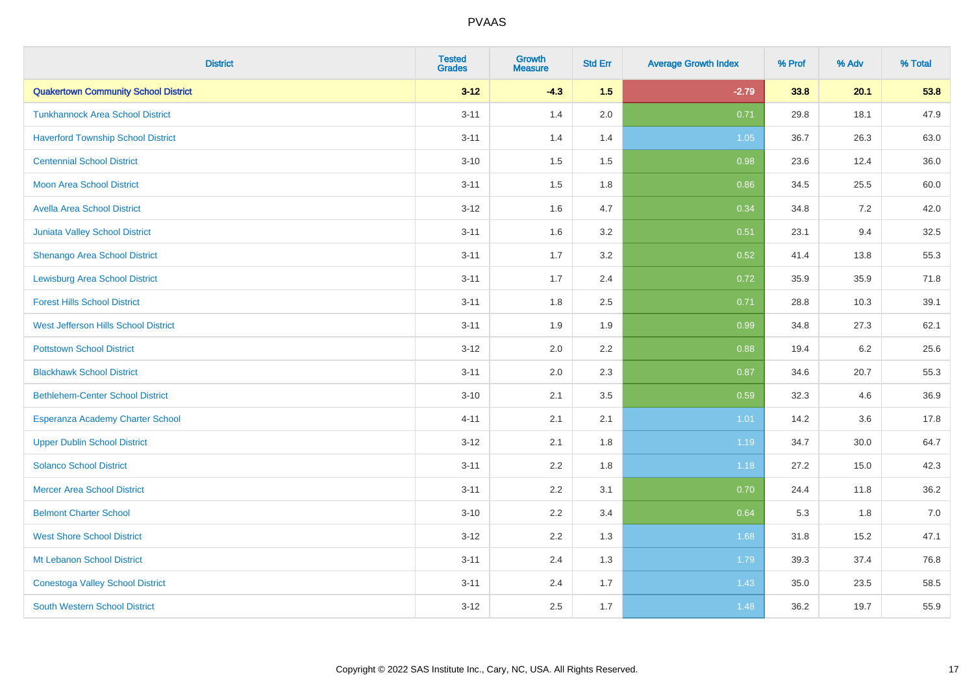| <b>District</b>                             | <b>Tested</b><br><b>Grades</b> | <b>Growth</b><br><b>Measure</b> | <b>Std Err</b> | <b>Average Growth Index</b> | % Prof | % Adv | % Total |
|---------------------------------------------|--------------------------------|---------------------------------|----------------|-----------------------------|--------|-------|---------|
| <b>Quakertown Community School District</b> | $3 - 12$                       | $-4.3$                          | 1.5            | $-2.79$                     | 33.8   | 20.1  | 53.8    |
| <b>Tunkhannock Area School District</b>     | $3 - 11$                       | 1.4                             | 2.0            | 0.71                        | 29.8   | 18.1  | 47.9    |
| <b>Haverford Township School District</b>   | $3 - 11$                       | 1.4                             | 1.4            | 1.05                        | 36.7   | 26.3  | 63.0    |
| <b>Centennial School District</b>           | $3 - 10$                       | 1.5                             | 1.5            | 0.98                        | 23.6   | 12.4  | 36.0    |
| <b>Moon Area School District</b>            | $3 - 11$                       | 1.5                             | 1.8            | 0.86                        | 34.5   | 25.5  | 60.0    |
| <b>Avella Area School District</b>          | $3 - 12$                       | 1.6                             | 4.7            | 0.34                        | 34.8   | 7.2   | 42.0    |
| Juniata Valley School District              | $3 - 11$                       | 1.6                             | 3.2            | 0.51                        | 23.1   | 9.4   | 32.5    |
| <b>Shenango Area School District</b>        | $3 - 11$                       | 1.7                             | 3.2            | 0.52                        | 41.4   | 13.8  | 55.3    |
| <b>Lewisburg Area School District</b>       | $3 - 11$                       | 1.7                             | 2.4            | 0.72                        | 35.9   | 35.9  | 71.8    |
| <b>Forest Hills School District</b>         | $3 - 11$                       | 1.8                             | 2.5            | 0.71                        | 28.8   | 10.3  | 39.1    |
| West Jefferson Hills School District        | $3 - 11$                       | 1.9                             | 1.9            | 0.99                        | 34.8   | 27.3  | 62.1    |
| <b>Pottstown School District</b>            | $3 - 12$                       | 2.0                             | 2.2            | 0.88                        | 19.4   | 6.2   | 25.6    |
| <b>Blackhawk School District</b>            | $3 - 11$                       | 2.0                             | 2.3            | 0.87                        | 34.6   | 20.7  | 55.3    |
| <b>Bethlehem-Center School District</b>     | $3 - 10$                       | 2.1                             | 3.5            | 0.59                        | 32.3   | 4.6   | 36.9    |
| Esperanza Academy Charter School            | $4 - 11$                       | 2.1                             | 2.1            | 1.01                        | 14.2   | 3.6   | 17.8    |
| <b>Upper Dublin School District</b>         | $3 - 12$                       | 2.1                             | 1.8            | 1.19                        | 34.7   | 30.0  | 64.7    |
| <b>Solanco School District</b>              | $3 - 11$                       | 2.2                             | 1.8            | 1.18                        | 27.2   | 15.0  | 42.3    |
| <b>Mercer Area School District</b>          | $3 - 11$                       | 2.2                             | 3.1            | 0.70                        | 24.4   | 11.8  | 36.2    |
| <b>Belmont Charter School</b>               | $3 - 10$                       | 2.2                             | 3.4            | 0.64                        | 5.3    | 1.8   | $7.0$   |
| <b>West Shore School District</b>           | $3 - 12$                       | 2.2                             | 1.3            | 1.68                        | 31.8   | 15.2  | 47.1    |
| Mt Lebanon School District                  | $3 - 11$                       | 2.4                             | 1.3            | 1.79                        | 39.3   | 37.4  | 76.8    |
| <b>Conestoga Valley School District</b>     | $3 - 11$                       | 2.4                             | 1.7            | 1.43                        | 35.0   | 23.5  | 58.5    |
| <b>South Western School District</b>        | $3 - 12$                       | 2.5                             | 1.7            | 1.48                        | 36.2   | 19.7  | 55.9    |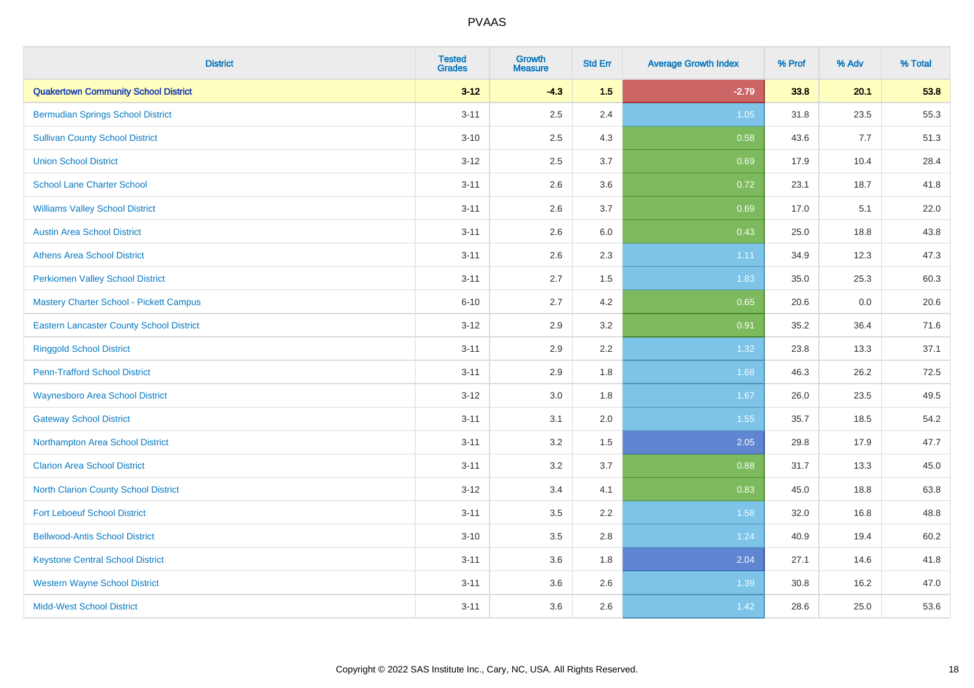| <b>District</b>                                 | <b>Tested</b><br><b>Grades</b> | <b>Growth</b><br><b>Measure</b> | <b>Std Err</b> | <b>Average Growth Index</b> | % Prof | % Adv | % Total |
|-------------------------------------------------|--------------------------------|---------------------------------|----------------|-----------------------------|--------|-------|---------|
| <b>Quakertown Community School District</b>     | $3 - 12$                       | $-4.3$                          | 1.5            | $-2.79$                     | 33.8   | 20.1  | 53.8    |
| <b>Bermudian Springs School District</b>        | $3 - 11$                       | 2.5                             | 2.4            | 1.05                        | 31.8   | 23.5  | 55.3    |
| <b>Sullivan County School District</b>          | $3 - 10$                       | 2.5                             | 4.3            | 0.58                        | 43.6   | 7.7   | 51.3    |
| <b>Union School District</b>                    | $3 - 12$                       | 2.5                             | 3.7            | 0.69                        | 17.9   | 10.4  | 28.4    |
| <b>School Lane Charter School</b>               | $3 - 11$                       | 2.6                             | 3.6            | 0.72                        | 23.1   | 18.7  | 41.8    |
| <b>Williams Valley School District</b>          | $3 - 11$                       | 2.6                             | 3.7            | 0.69                        | 17.0   | 5.1   | 22.0    |
| <b>Austin Area School District</b>              | $3 - 11$                       | 2.6                             | 6.0            | 0.43                        | 25.0   | 18.8  | 43.8    |
| <b>Athens Area School District</b>              | $3 - 11$                       | 2.6                             | 2.3            | 1.11                        | 34.9   | 12.3  | 47.3    |
| <b>Perkiomen Valley School District</b>         | $3 - 11$                       | 2.7                             | 1.5            | 1.83                        | 35.0   | 25.3  | 60.3    |
| <b>Mastery Charter School - Pickett Campus</b>  | $6 - 10$                       | 2.7                             | 4.2            | 0.65                        | 20.6   | 0.0   | 20.6    |
| <b>Eastern Lancaster County School District</b> | $3 - 12$                       | 2.9                             | 3.2            | 0.91                        | 35.2   | 36.4  | 71.6    |
| <b>Ringgold School District</b>                 | $3 - 11$                       | 2.9                             | 2.2            | 1.32                        | 23.8   | 13.3  | 37.1    |
| <b>Penn-Trafford School District</b>            | $3 - 11$                       | 2.9                             | 1.8            | 1.68                        | 46.3   | 26.2  | 72.5    |
| <b>Waynesboro Area School District</b>          | $3 - 12$                       | 3.0                             | 1.8            | 1.67                        | 26.0   | 23.5  | 49.5    |
| <b>Gateway School District</b>                  | $3 - 11$                       | 3.1                             | 2.0            | 1.55                        | 35.7   | 18.5  | 54.2    |
| Northampton Area School District                | $3 - 11$                       | 3.2                             | 1.5            | 2.05                        | 29.8   | 17.9  | 47.7    |
| <b>Clarion Area School District</b>             | $3 - 11$                       | $3.2\,$                         | 3.7            | 0.88                        | 31.7   | 13.3  | 45.0    |
| North Clarion County School District            | $3 - 12$                       | 3.4                             | 4.1            | 0.83                        | 45.0   | 18.8  | 63.8    |
| <b>Fort Leboeuf School District</b>             | $3 - 11$                       | 3.5                             | 2.2            | 1.58                        | 32.0   | 16.8  | 48.8    |
| <b>Bellwood-Antis School District</b>           | $3 - 10$                       | 3.5                             | 2.8            | 1.24                        | 40.9   | 19.4  | 60.2    |
| <b>Keystone Central School District</b>         | $3 - 11$                       | 3.6                             | 1.8            | 2.04                        | 27.1   | 14.6  | 41.8    |
| <b>Western Wayne School District</b>            | $3 - 11$                       | 3.6                             | 2.6            | 1.39                        | 30.8   | 16.2  | 47.0    |
| <b>Midd-West School District</b>                | $3 - 11$                       | 3.6                             | 2.6            | 1.42                        | 28.6   | 25.0  | 53.6    |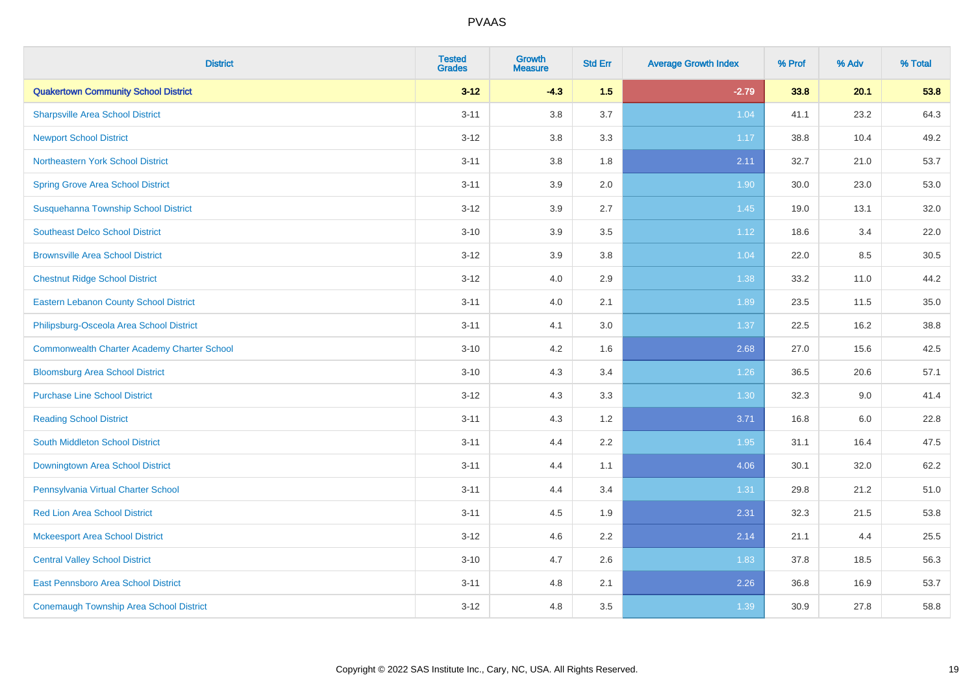| <b>District</b>                                    | <b>Tested</b><br><b>Grades</b> | <b>Growth</b><br><b>Measure</b> | <b>Std Err</b> | <b>Average Growth Index</b> | % Prof | % Adv | % Total |
|----------------------------------------------------|--------------------------------|---------------------------------|----------------|-----------------------------|--------|-------|---------|
| <b>Quakertown Community School District</b>        | $3 - 12$                       | $-4.3$                          | 1.5            | $-2.79$                     | 33.8   | 20.1  | 53.8    |
| <b>Sharpsville Area School District</b>            | $3 - 11$                       | 3.8                             | 3.7            | 1.04                        | 41.1   | 23.2  | 64.3    |
| <b>Newport School District</b>                     | $3 - 12$                       | 3.8                             | 3.3            | 1.17                        | 38.8   | 10.4  | 49.2    |
| Northeastern York School District                  | $3 - 11$                       | 3.8                             | 1.8            | 2.11                        | 32.7   | 21.0  | 53.7    |
| <b>Spring Grove Area School District</b>           | $3 - 11$                       | 3.9                             | 2.0            | 1.90                        | 30.0   | 23.0  | 53.0    |
| Susquehanna Township School District               | $3 - 12$                       | 3.9                             | 2.7            | 1.45                        | 19.0   | 13.1  | 32.0    |
| <b>Southeast Delco School District</b>             | $3 - 10$                       | 3.9                             | 3.5            | 1.12                        | 18.6   | 3.4   | 22.0    |
| <b>Brownsville Area School District</b>            | $3 - 12$                       | 3.9                             | 3.8            | 1.04                        | 22.0   | 8.5   | 30.5    |
| <b>Chestnut Ridge School District</b>              | $3 - 12$                       | 4.0                             | 2.9            | 1.38                        | 33.2   | 11.0  | 44.2    |
| <b>Eastern Lebanon County School District</b>      | $3 - 11$                       | 4.0                             | 2.1            | 1.89                        | 23.5   | 11.5  | 35.0    |
| Philipsburg-Osceola Area School District           | $3 - 11$                       | 4.1                             | 3.0            | 1.37                        | 22.5   | 16.2  | 38.8    |
| <b>Commonwealth Charter Academy Charter School</b> | $3 - 10$                       | 4.2                             | 1.6            | 2.68                        | 27.0   | 15.6  | 42.5    |
| <b>Bloomsburg Area School District</b>             | $3 - 10$                       | 4.3                             | 3.4            | 1.26                        | 36.5   | 20.6  | 57.1    |
| <b>Purchase Line School District</b>               | $3 - 12$                       | 4.3                             | 3.3            | 1.30                        | 32.3   | 9.0   | 41.4    |
| <b>Reading School District</b>                     | $3 - 11$                       | 4.3                             | 1.2            | 3.71                        | 16.8   | 6.0   | 22.8    |
| South Middleton School District                    | $3 - 11$                       | 4.4                             | 2.2            | 1.95                        | 31.1   | 16.4  | 47.5    |
| <b>Downingtown Area School District</b>            | $3 - 11$                       | 4.4                             | 1.1            | 4.06                        | 30.1   | 32.0  | 62.2    |
| Pennsylvania Virtual Charter School                | $3 - 11$                       | 4.4                             | 3.4            | 1.31                        | 29.8   | 21.2  | 51.0    |
| <b>Red Lion Area School District</b>               | $3 - 11$                       | 4.5                             | 1.9            | 2.31                        | 32.3   | 21.5  | 53.8    |
| <b>Mckeesport Area School District</b>             | $3 - 12$                       | 4.6                             | 2.2            | 2.14                        | 21.1   | 4.4   | 25.5    |
| <b>Central Valley School District</b>              | $3 - 10$                       | 4.7                             | 2.6            | 1.83                        | 37.8   | 18.5  | 56.3    |
| <b>East Pennsboro Area School District</b>         | $3 - 11$                       | 4.8                             | 2.1            | 2.26                        | 36.8   | 16.9  | 53.7    |
| <b>Conemaugh Township Area School District</b>     | $3 - 12$                       | 4.8                             | 3.5            | 1.39                        | 30.9   | 27.8  | 58.8    |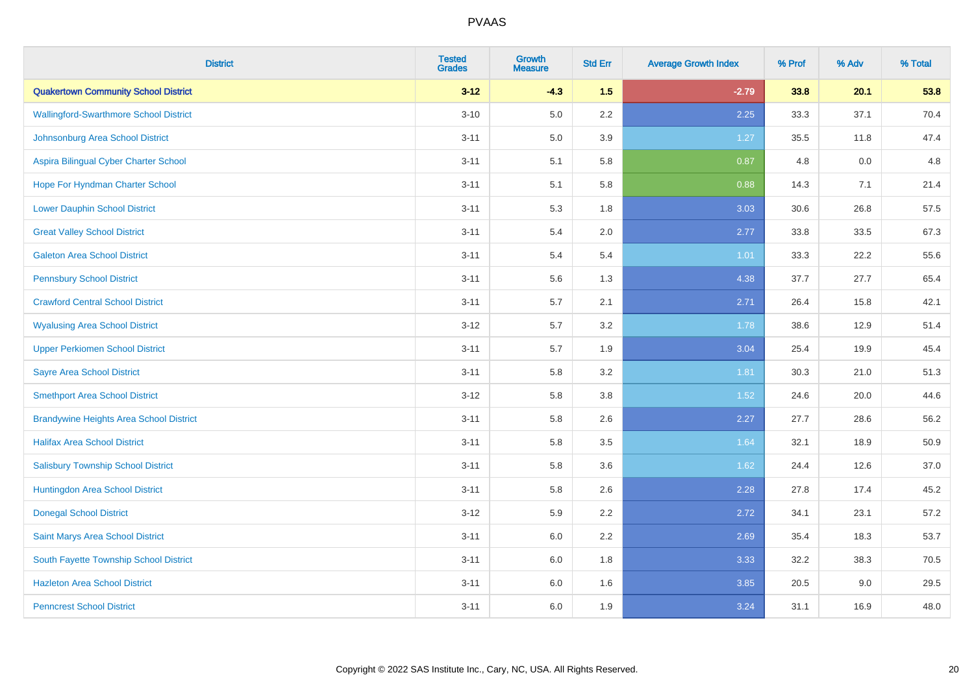| <b>District</b>                                | <b>Tested</b><br><b>Grades</b> | <b>Growth</b><br><b>Measure</b> | <b>Std Err</b> | <b>Average Growth Index</b> | % Prof | % Adv | % Total |
|------------------------------------------------|--------------------------------|---------------------------------|----------------|-----------------------------|--------|-------|---------|
| <b>Quakertown Community School District</b>    | $3 - 12$                       | $-4.3$                          | 1.5            | $-2.79$                     | 33.8   | 20.1  | 53.8    |
| <b>Wallingford-Swarthmore School District</b>  | $3 - 10$                       | $5.0\,$                         | $2.2\,$        | 2.25                        | 33.3   | 37.1  | 70.4    |
| Johnsonburg Area School District               | $3 - 11$                       | 5.0                             | 3.9            | 1.27                        | 35.5   | 11.8  | 47.4    |
| Aspira Bilingual Cyber Charter School          | $3 - 11$                       | 5.1                             | 5.8            | 0.87                        | 4.8    | 0.0   | 4.8     |
| Hope For Hyndman Charter School                | $3 - 11$                       | 5.1                             | 5.8            | 0.88                        | 14.3   | 7.1   | 21.4    |
| <b>Lower Dauphin School District</b>           | $3 - 11$                       | 5.3                             | 1.8            | 3.03                        | 30.6   | 26.8  | 57.5    |
| <b>Great Valley School District</b>            | $3 - 11$                       | 5.4                             | 2.0            | 2.77                        | 33.8   | 33.5  | 67.3    |
| <b>Galeton Area School District</b>            | $3 - 11$                       | 5.4                             | 5.4            | 1.01                        | 33.3   | 22.2  | 55.6    |
| <b>Pennsbury School District</b>               | $3 - 11$                       | 5.6                             | 1.3            | 4.38                        | 37.7   | 27.7  | 65.4    |
| <b>Crawford Central School District</b>        | $3 - 11$                       | 5.7                             | 2.1            | 2.71                        | 26.4   | 15.8  | 42.1    |
| <b>Wyalusing Area School District</b>          | $3 - 12$                       | 5.7                             | 3.2            | 1.78                        | 38.6   | 12.9  | 51.4    |
| <b>Upper Perkiomen School District</b>         | $3 - 11$                       | 5.7                             | 1.9            | 3.04                        | 25.4   | 19.9  | 45.4    |
| <b>Sayre Area School District</b>              | $3 - 11$                       | 5.8                             | 3.2            | 1.81                        | 30.3   | 21.0  | 51.3    |
| <b>Smethport Area School District</b>          | $3 - 12$                       | 5.8                             | 3.8            | 1.52                        | 24.6   | 20.0  | 44.6    |
| <b>Brandywine Heights Area School District</b> | $3 - 11$                       | 5.8                             | 2.6            | 2.27                        | 27.7   | 28.6  | 56.2    |
| <b>Halifax Area School District</b>            | $3 - 11$                       | 5.8                             | 3.5            | 1.64                        | 32.1   | 18.9  | 50.9    |
| <b>Salisbury Township School District</b>      | $3 - 11$                       | 5.8                             | 3.6            | 1.62                        | 24.4   | 12.6  | 37.0    |
| Huntingdon Area School District                | $3 - 11$                       | 5.8                             | 2.6            | 2.28                        | 27.8   | 17.4  | 45.2    |
| <b>Donegal School District</b>                 | $3 - 12$                       | 5.9                             | 2.2            | 2.72                        | 34.1   | 23.1  | 57.2    |
| Saint Marys Area School District               | $3 - 11$                       | 6.0                             | 2.2            | 2.69                        | 35.4   | 18.3  | 53.7    |
| South Fayette Township School District         | $3 - 11$                       | 6.0                             | 1.8            | 3.33                        | 32.2   | 38.3  | 70.5    |
| <b>Hazleton Area School District</b>           | $3 - 11$                       | 6.0                             | 1.6            | 3.85                        | 20.5   | 9.0   | 29.5    |
| <b>Penncrest School District</b>               | $3 - 11$                       | 6.0                             | 1.9            | 3.24                        | 31.1   | 16.9  | 48.0    |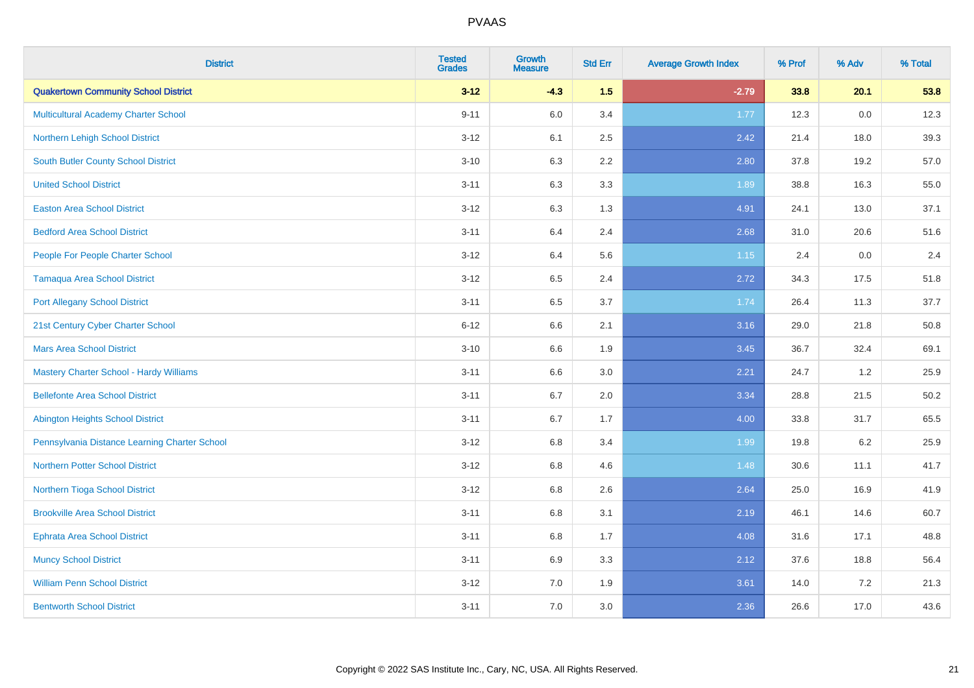| <b>District</b>                                | <b>Tested</b><br><b>Grades</b> | <b>Growth</b><br><b>Measure</b> | <b>Std Err</b> | <b>Average Growth Index</b> | % Prof | % Adv   | % Total |
|------------------------------------------------|--------------------------------|---------------------------------|----------------|-----------------------------|--------|---------|---------|
| <b>Quakertown Community School District</b>    | $3 - 12$                       | $-4.3$                          | 1.5            | $-2.79$                     | 33.8   | 20.1    | 53.8    |
| Multicultural Academy Charter School           | $9 - 11$                       | 6.0                             | 3.4            | 1.77                        | 12.3   | 0.0     | 12.3    |
| Northern Lehigh School District                | $3 - 12$                       | 6.1                             | 2.5            | 2.42                        | 21.4   | 18.0    | 39.3    |
| <b>South Butler County School District</b>     | $3 - 10$                       | 6.3                             | 2.2            | 2.80                        | 37.8   | 19.2    | 57.0    |
| <b>United School District</b>                  | $3 - 11$                       | 6.3                             | 3.3            | 1.89                        | 38.8   | 16.3    | 55.0    |
| <b>Easton Area School District</b>             | $3 - 12$                       | 6.3                             | 1.3            | 4.91                        | 24.1   | 13.0    | 37.1    |
| <b>Bedford Area School District</b>            | $3 - 11$                       | 6.4                             | 2.4            | 2.68                        | 31.0   | 20.6    | 51.6    |
| People For People Charter School               | $3 - 12$                       | 6.4                             | 5.6            | $1.15$                      | 2.4    | 0.0     | 2.4     |
| Tamaqua Area School District                   | $3 - 12$                       | 6.5                             | 2.4            | 2.72                        | 34.3   | 17.5    | 51.8    |
| <b>Port Allegany School District</b>           | $3 - 11$                       | 6.5                             | 3.7            | 1.74                        | 26.4   | 11.3    | 37.7    |
| 21st Century Cyber Charter School              | $6 - 12$                       | 6.6                             | 2.1            | 3.16                        | 29.0   | 21.8    | 50.8    |
| <b>Mars Area School District</b>               | $3 - 10$                       | 6.6                             | 1.9            | 3.45                        | 36.7   | 32.4    | 69.1    |
| <b>Mastery Charter School - Hardy Williams</b> | $3 - 11$                       | 6.6                             | 3.0            | 2.21                        | 24.7   | 1.2     | 25.9    |
| <b>Bellefonte Area School District</b>         | $3 - 11$                       | 6.7                             | 2.0            | 3.34                        | 28.8   | 21.5    | 50.2    |
| <b>Abington Heights School District</b>        | $3 - 11$                       | 6.7                             | 1.7            | 4.00                        | 33.8   | 31.7    | 65.5    |
| Pennsylvania Distance Learning Charter School  | $3 - 12$                       | 6.8                             | 3.4            | 1.99                        | 19.8   | $6.2\,$ | 25.9    |
| <b>Northern Potter School District</b>         | $3 - 12$                       | 6.8                             | 4.6            | 1.48                        | 30.6   | 11.1    | 41.7    |
| Northern Tioga School District                 | $3 - 12$                       | 6.8                             | 2.6            | 2.64                        | 25.0   | 16.9    | 41.9    |
| <b>Brookville Area School District</b>         | $3 - 11$                       | $6.8\,$                         | 3.1            | 2.19                        | 46.1   | 14.6    | 60.7    |
| <b>Ephrata Area School District</b>            | $3 - 11$                       | $6.8\,$                         | 1.7            | 4.08                        | 31.6   | 17.1    | 48.8    |
| <b>Muncy School District</b>                   | $3 - 11$                       | 6.9                             | 3.3            | 2.12                        | 37.6   | 18.8    | 56.4    |
| <b>William Penn School District</b>            | $3 - 12$                       | 7.0                             | 1.9            | 3.61                        | 14.0   | 7.2     | 21.3    |
| <b>Bentworth School District</b>               | $3 - 11$                       | 7.0                             | 3.0            | 2.36                        | 26.6   | 17.0    | 43.6    |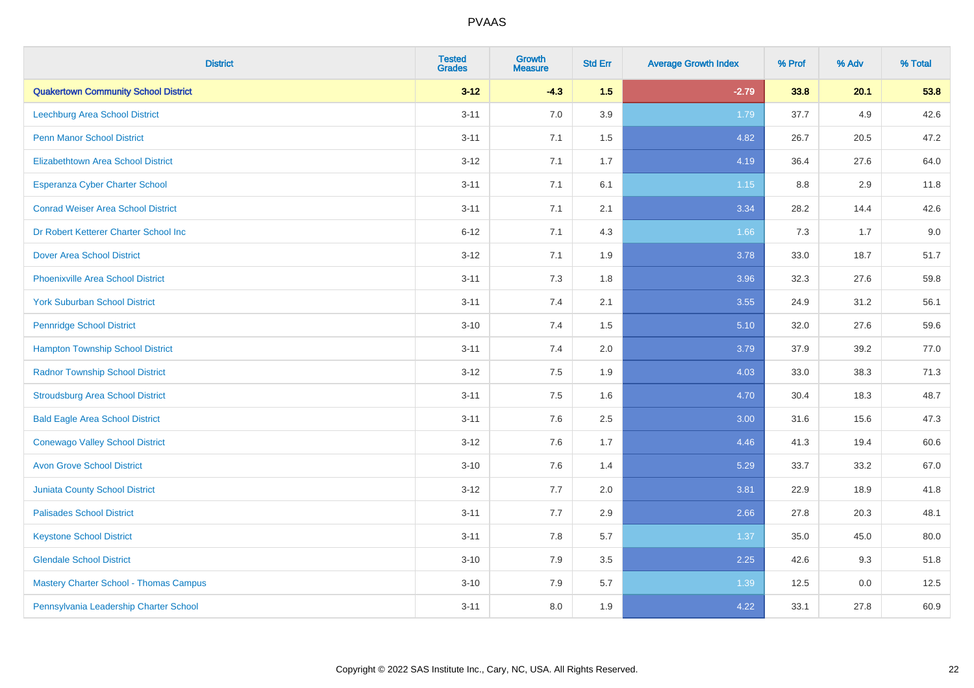| <b>District</b>                               | <b>Tested</b><br><b>Grades</b> | <b>Growth</b><br><b>Measure</b> | <b>Std Err</b> | <b>Average Growth Index</b> | % Prof | % Adv | % Total |
|-----------------------------------------------|--------------------------------|---------------------------------|----------------|-----------------------------|--------|-------|---------|
| <b>Quakertown Community School District</b>   | $3 - 12$                       | $-4.3$                          | 1.5            | $-2.79$                     | 33.8   | 20.1  | 53.8    |
| Leechburg Area School District                | $3 - 11$                       | 7.0                             | 3.9            | 1.79                        | 37.7   | 4.9   | 42.6    |
| <b>Penn Manor School District</b>             | $3 - 11$                       | 7.1                             | 1.5            | 4.82                        | 26.7   | 20.5  | 47.2    |
| <b>Elizabethtown Area School District</b>     | $3 - 12$                       | 7.1                             | 1.7            | 4.19                        | 36.4   | 27.6  | 64.0    |
| <b>Esperanza Cyber Charter School</b>         | $3 - 11$                       | 7.1                             | 6.1            | $1.15$                      | 8.8    | 2.9   | 11.8    |
| <b>Conrad Weiser Area School District</b>     | $3 - 11$                       | 7.1                             | 2.1            | 3.34                        | 28.2   | 14.4  | 42.6    |
| Dr Robert Ketterer Charter School Inc         | $6 - 12$                       | 7.1                             | 4.3            | 1.66                        | 7.3    | 1.7   | 9.0     |
| <b>Dover Area School District</b>             | $3 - 12$                       | 7.1                             | 1.9            | 3.78                        | 33.0   | 18.7  | 51.7    |
| <b>Phoenixville Area School District</b>      | $3 - 11$                       | 7.3                             | 1.8            | 3.96                        | 32.3   | 27.6  | 59.8    |
| <b>York Suburban School District</b>          | $3 - 11$                       | 7.4                             | 2.1            | 3.55                        | 24.9   | 31.2  | 56.1    |
| <b>Pennridge School District</b>              | $3 - 10$                       | 7.4                             | 1.5            | 5.10                        | 32.0   | 27.6  | 59.6    |
| <b>Hampton Township School District</b>       | $3 - 11$                       | 7.4                             | 2.0            | 3.79                        | 37.9   | 39.2  | 77.0    |
| <b>Radnor Township School District</b>        | $3 - 12$                       | $7.5\,$                         | 1.9            | 4.03                        | 33.0   | 38.3  | 71.3    |
| <b>Stroudsburg Area School District</b>       | $3 - 11$                       | 7.5                             | 1.6            | 4.70                        | 30.4   | 18.3  | 48.7    |
| <b>Bald Eagle Area School District</b>        | $3 - 11$                       | 7.6                             | 2.5            | 3.00                        | 31.6   | 15.6  | 47.3    |
| <b>Conewago Valley School District</b>        | $3 - 12$                       | 7.6                             | 1.7            | 4.46                        | 41.3   | 19.4  | 60.6    |
| <b>Avon Grove School District</b>             | $3 - 10$                       | 7.6                             | 1.4            | 5.29                        | 33.7   | 33.2  | 67.0    |
| <b>Juniata County School District</b>         | $3 - 12$                       | 7.7                             | 2.0            | 3.81                        | 22.9   | 18.9  | 41.8    |
| <b>Palisades School District</b>              | $3 - 11$                       | 7.7                             | 2.9            | 2.66                        | 27.8   | 20.3  | 48.1    |
| <b>Keystone School District</b>               | $3 - 11$                       | 7.8                             | 5.7            | 1.37                        | 35.0   | 45.0  | 80.0    |
| <b>Glendale School District</b>               | $3 - 10$                       | 7.9                             | 3.5            | 2.25                        | 42.6   | 9.3   | 51.8    |
| <b>Mastery Charter School - Thomas Campus</b> | $3 - 10$                       | 7.9                             | 5.7            | 1.39                        | 12.5   | 0.0   | 12.5    |
| Pennsylvania Leadership Charter School        | $3 - 11$                       | 8.0                             | 1.9            | 4.22                        | 33.1   | 27.8  | 60.9    |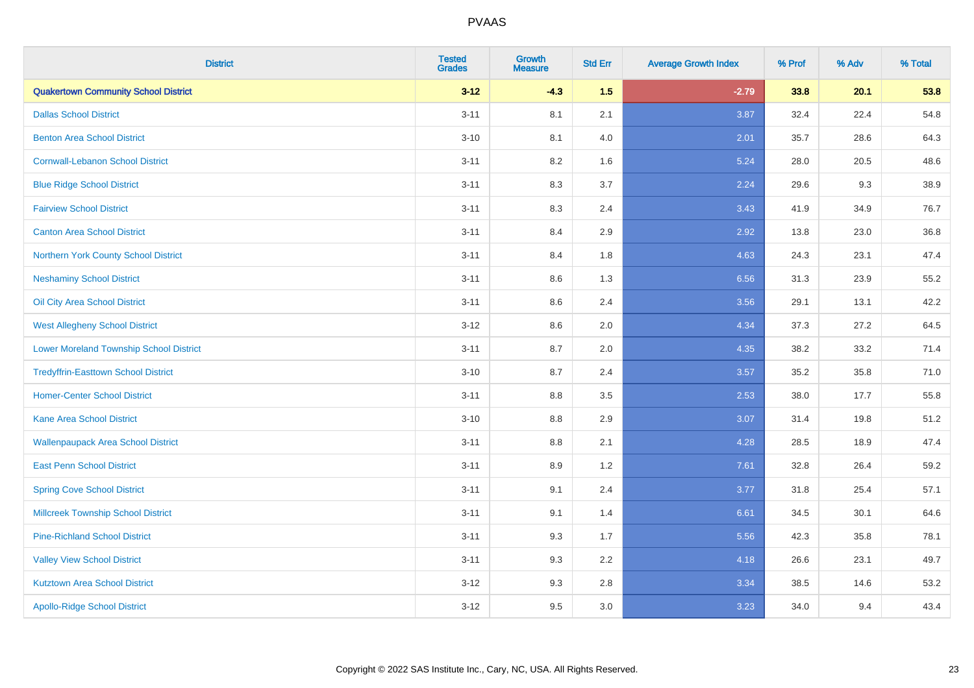| <b>District</b>                                | <b>Tested</b><br><b>Grades</b> | <b>Growth</b><br><b>Measure</b> | <b>Std Err</b> | <b>Average Growth Index</b> | % Prof | % Adv | % Total |
|------------------------------------------------|--------------------------------|---------------------------------|----------------|-----------------------------|--------|-------|---------|
| <b>Quakertown Community School District</b>    | $3 - 12$                       | $-4.3$                          | 1.5            | $-2.79$                     | 33.8   | 20.1  | 53.8    |
| <b>Dallas School District</b>                  | $3 - 11$                       | 8.1                             | 2.1            | 3.87                        | 32.4   | 22.4  | 54.8    |
| <b>Benton Area School District</b>             | $3 - 10$                       | 8.1                             | 4.0            | 2.01                        | 35.7   | 28.6  | 64.3    |
| <b>Cornwall-Lebanon School District</b>        | $3 - 11$                       | 8.2                             | 1.6            | 5.24                        | 28.0   | 20.5  | 48.6    |
| <b>Blue Ridge School District</b>              | $3 - 11$                       | 8.3                             | 3.7            | 2.24                        | 29.6   | 9.3   | 38.9    |
| <b>Fairview School District</b>                | $3 - 11$                       | 8.3                             | 2.4            | 3.43                        | 41.9   | 34.9  | 76.7    |
| <b>Canton Area School District</b>             | $3 - 11$                       | 8.4                             | 2.9            | 2.92                        | 13.8   | 23.0  | 36.8    |
| Northern York County School District           | $3 - 11$                       | 8.4                             | 1.8            | 4.63                        | 24.3   | 23.1  | 47.4    |
| <b>Neshaminy School District</b>               | $3 - 11$                       | 8.6                             | 1.3            | 6.56                        | 31.3   | 23.9  | 55.2    |
| Oil City Area School District                  | $3 - 11$                       | 8.6                             | 2.4            | 3.56                        | 29.1   | 13.1  | 42.2    |
| <b>West Allegheny School District</b>          | $3 - 12$                       | 8.6                             | 2.0            | 4.34                        | 37.3   | 27.2  | 64.5    |
| <b>Lower Moreland Township School District</b> | $3 - 11$                       | 8.7                             | 2.0            | 4.35                        | 38.2   | 33.2  | 71.4    |
| <b>Tredyffrin-Easttown School District</b>     | $3 - 10$                       | 8.7                             | 2.4            | 3.57                        | 35.2   | 35.8  | 71.0    |
| <b>Homer-Center School District</b>            | $3 - 11$                       | 8.8                             | 3.5            | 2.53                        | 38.0   | 17.7  | 55.8    |
| <b>Kane Area School District</b>               | $3 - 10$                       | 8.8                             | 2.9            | 3.07                        | 31.4   | 19.8  | 51.2    |
| <b>Wallenpaupack Area School District</b>      | $3 - 11$                       | $8.8\,$                         | 2.1            | 4.28                        | 28.5   | 18.9  | 47.4    |
| <b>East Penn School District</b>               | $3 - 11$                       | 8.9                             | 1.2            | 7.61                        | 32.8   | 26.4  | 59.2    |
| <b>Spring Cove School District</b>             | $3 - 11$                       | 9.1                             | 2.4            | 3.77                        | 31.8   | 25.4  | 57.1    |
| <b>Millcreek Township School District</b>      | $3 - 11$                       | 9.1                             | 1.4            | 6.61                        | 34.5   | 30.1  | 64.6    |
| <b>Pine-Richland School District</b>           | $3 - 11$                       | 9.3                             | 1.7            | 5.56                        | 42.3   | 35.8  | 78.1    |
| <b>Valley View School District</b>             | $3 - 11$                       | 9.3                             | 2.2            | 4.18                        | 26.6   | 23.1  | 49.7    |
| <b>Kutztown Area School District</b>           | $3 - 12$                       | 9.3                             | 2.8            | 3.34                        | 38.5   | 14.6  | 53.2    |
| <b>Apollo-Ridge School District</b>            | $3 - 12$                       | 9.5                             | 3.0            | 3.23                        | 34.0   | 9.4   | 43.4    |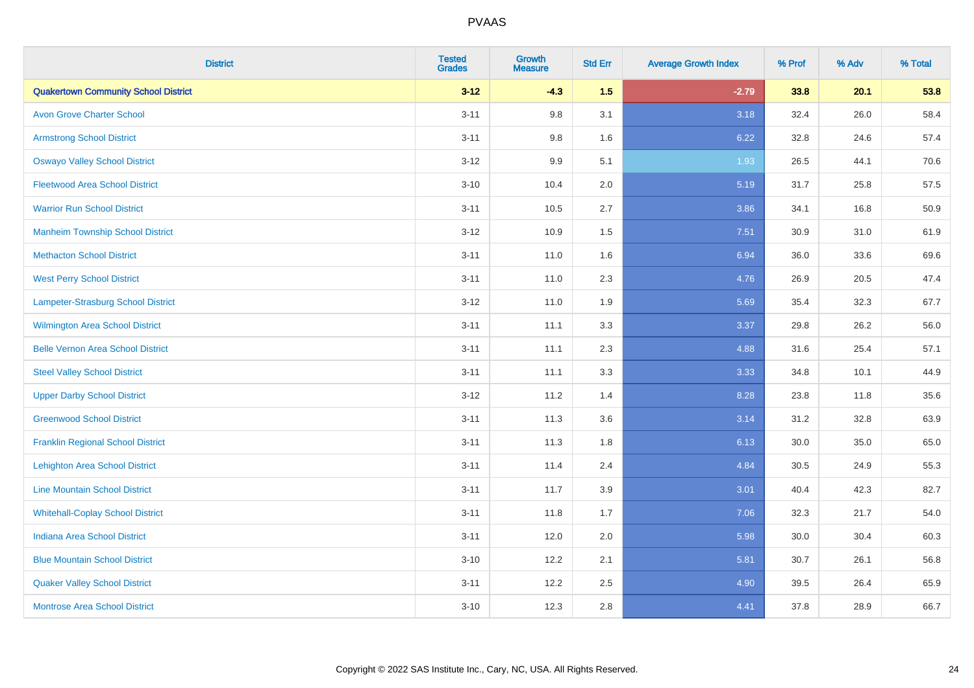| <b>District</b>                             | <b>Tested</b><br><b>Grades</b> | <b>Growth</b><br><b>Measure</b> | <b>Std Err</b> | <b>Average Growth Index</b> | % Prof | % Adv | % Total |
|---------------------------------------------|--------------------------------|---------------------------------|----------------|-----------------------------|--------|-------|---------|
| <b>Quakertown Community School District</b> | $3 - 12$                       | $-4.3$                          | 1.5            | $-2.79$                     | 33.8   | 20.1  | 53.8    |
| <b>Avon Grove Charter School</b>            | $3 - 11$                       | 9.8                             | 3.1            | 3.18                        | 32.4   | 26.0  | 58.4    |
| <b>Armstrong School District</b>            | $3 - 11$                       | 9.8                             | 1.6            | 6.22                        | 32.8   | 24.6  | 57.4    |
| <b>Oswayo Valley School District</b>        | $3 - 12$                       | 9.9                             | 5.1            | 1.93                        | 26.5   | 44.1  | 70.6    |
| <b>Fleetwood Area School District</b>       | $3 - 10$                       | 10.4                            | 2.0            | 5.19                        | 31.7   | 25.8  | 57.5    |
| <b>Warrior Run School District</b>          | $3 - 11$                       | 10.5                            | 2.7            | 3.86                        | 34.1   | 16.8  | 50.9    |
| <b>Manheim Township School District</b>     | $3-12$                         | 10.9                            | 1.5            | 7.51                        | 30.9   | 31.0  | 61.9    |
| <b>Methacton School District</b>            | $3 - 11$                       | 11.0                            | 1.6            | 6.94                        | 36.0   | 33.6  | 69.6    |
| <b>West Perry School District</b>           | $3 - 11$                       | 11.0                            | 2.3            | 4.76                        | 26.9   | 20.5  | 47.4    |
| Lampeter-Strasburg School District          | $3 - 12$                       | 11.0                            | 1.9            | 5.69                        | 35.4   | 32.3  | 67.7    |
| <b>Wilmington Area School District</b>      | $3 - 11$                       | 11.1                            | 3.3            | 3.37                        | 29.8   | 26.2  | 56.0    |
| <b>Belle Vernon Area School District</b>    | $3 - 11$                       | 11.1                            | 2.3            | 4.88                        | 31.6   | 25.4  | 57.1    |
| <b>Steel Valley School District</b>         | $3 - 11$                       | 11.1                            | 3.3            | 3.33                        | 34.8   | 10.1  | 44.9    |
| <b>Upper Darby School District</b>          | $3 - 12$                       | 11.2                            | 1.4            | 8.28                        | 23.8   | 11.8  | 35.6    |
| <b>Greenwood School District</b>            | $3 - 11$                       | 11.3                            | 3.6            | 3.14                        | 31.2   | 32.8  | 63.9    |
| <b>Franklin Regional School District</b>    | $3 - 11$                       | 11.3                            | 1.8            | 6.13                        | 30.0   | 35.0  | 65.0    |
| <b>Lehighton Area School District</b>       | $3 - 11$                       | 11.4                            | 2.4            | 4.84                        | 30.5   | 24.9  | 55.3    |
| <b>Line Mountain School District</b>        | $3 - 11$                       | 11.7                            | 3.9            | 3.01                        | 40.4   | 42.3  | 82.7    |
| <b>Whitehall-Coplay School District</b>     | $3 - 11$                       | 11.8                            | 1.7            | 7.06                        | 32.3   | 21.7  | 54.0    |
| <b>Indiana Area School District</b>         | $3 - 11$                       | 12.0                            | 2.0            | 5.98                        | 30.0   | 30.4  | 60.3    |
| <b>Blue Mountain School District</b>        | $3 - 10$                       | 12.2                            | 2.1            | 5.81                        | 30.7   | 26.1  | 56.8    |
| <b>Quaker Valley School District</b>        | $3 - 11$                       | 12.2                            | 2.5            | 4.90                        | 39.5   | 26.4  | 65.9    |
| <b>Montrose Area School District</b>        | $3 - 10$                       | 12.3                            | 2.8            | 4.41                        | 37.8   | 28.9  | 66.7    |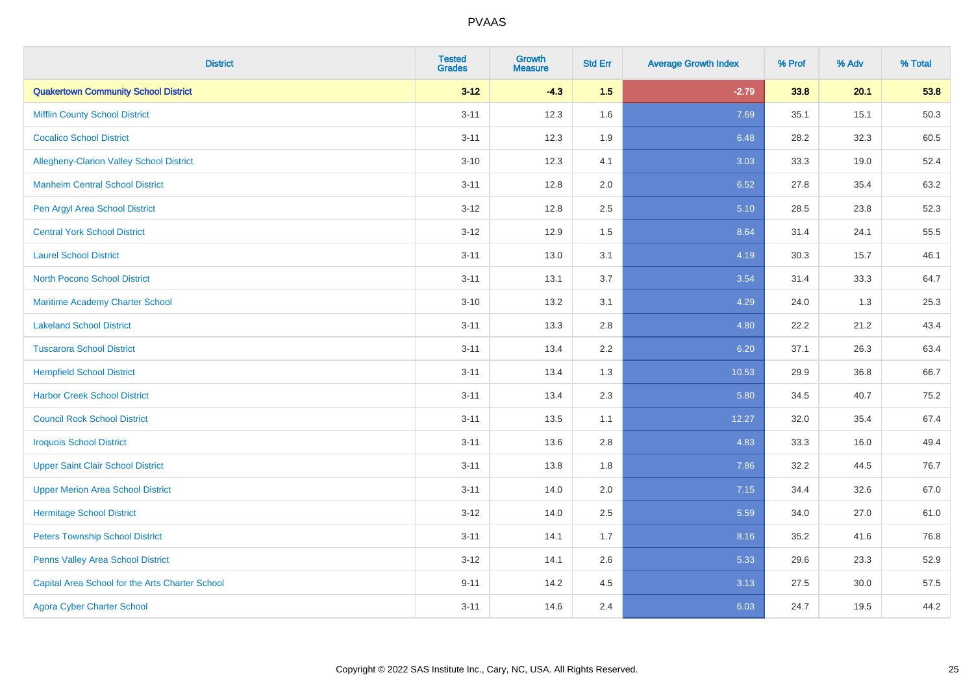| <b>District</b>                                 | <b>Tested</b><br><b>Grades</b> | Growth<br><b>Measure</b> | <b>Std Err</b> | <b>Average Growth Index</b> | % Prof | % Adv | % Total |
|-------------------------------------------------|--------------------------------|--------------------------|----------------|-----------------------------|--------|-------|---------|
| <b>Quakertown Community School District</b>     | $3 - 12$                       | $-4.3$                   | 1.5            | $-2.79$                     | 33.8   | 20.1  | 53.8    |
| <b>Mifflin County School District</b>           | $3 - 11$                       | 12.3                     | 1.6            | 7.69                        | 35.1   | 15.1  | 50.3    |
| <b>Cocalico School District</b>                 | $3 - 11$                       | 12.3                     | 1.9            | 6.48                        | 28.2   | 32.3  | 60.5    |
| Allegheny-Clarion Valley School District        | $3 - 10$                       | 12.3                     | 4.1            | 3.03                        | 33.3   | 19.0  | 52.4    |
| <b>Manheim Central School District</b>          | $3 - 11$                       | 12.8                     | 2.0            | 6.52                        | 27.8   | 35.4  | 63.2    |
| Pen Argyl Area School District                  | $3 - 12$                       | 12.8                     | 2.5            | 5.10                        | 28.5   | 23.8  | 52.3    |
| <b>Central York School District</b>             | $3 - 12$                       | 12.9                     | 1.5            | 8.64                        | 31.4   | 24.1  | 55.5    |
| <b>Laurel School District</b>                   | $3 - 11$                       | 13.0                     | 3.1            | 4.19                        | 30.3   | 15.7  | 46.1    |
| North Pocono School District                    | $3 - 11$                       | 13.1                     | 3.7            | 3.54                        | 31.4   | 33.3  | 64.7    |
| <b>Maritime Academy Charter School</b>          | $3 - 10$                       | 13.2                     | 3.1            | 4.29                        | 24.0   | 1.3   | 25.3    |
| <b>Lakeland School District</b>                 | $3 - 11$                       | 13.3                     | 2.8            | 4.80                        | 22.2   | 21.2  | 43.4    |
| <b>Tuscarora School District</b>                | $3 - 11$                       | 13.4                     | 2.2            | 6.20                        | 37.1   | 26.3  | 63.4    |
| <b>Hempfield School District</b>                | $3 - 11$                       | 13.4                     | 1.3            | 10.53                       | 29.9   | 36.8  | 66.7    |
| <b>Harbor Creek School District</b>             | $3 - 11$                       | 13.4                     | 2.3            | 5.80                        | 34.5   | 40.7  | 75.2    |
| <b>Council Rock School District</b>             | $3 - 11$                       | 13.5                     | 1.1            | 12.27                       | 32.0   | 35.4  | 67.4    |
| <b>Iroquois School District</b>                 | $3 - 11$                       | 13.6                     | 2.8            | 4.83                        | 33.3   | 16.0  | 49.4    |
| <b>Upper Saint Clair School District</b>        | $3 - 11$                       | 13.8                     | 1.8            | 7.86                        | 32.2   | 44.5  | 76.7    |
| <b>Upper Merion Area School District</b>        | $3 - 11$                       | 14.0                     | 2.0            | 7.15                        | 34.4   | 32.6  | 67.0    |
| <b>Hermitage School District</b>                | $3 - 12$                       | 14.0                     | 2.5            | 5.59                        | 34.0   | 27.0  | 61.0    |
| <b>Peters Township School District</b>          | $3 - 11$                       | 14.1                     | 1.7            | 8.16                        | 35.2   | 41.6  | 76.8    |
| Penns Valley Area School District               | $3 - 12$                       | 14.1                     | 2.6            | 5.33                        | 29.6   | 23.3  | 52.9    |
| Capital Area School for the Arts Charter School | $9 - 11$                       | 14.2                     | 4.5            | 3.13                        | 27.5   | 30.0  | 57.5    |
| <b>Agora Cyber Charter School</b>               | $3 - 11$                       | 14.6                     | 2.4            | 6.03                        | 24.7   | 19.5  | 44.2    |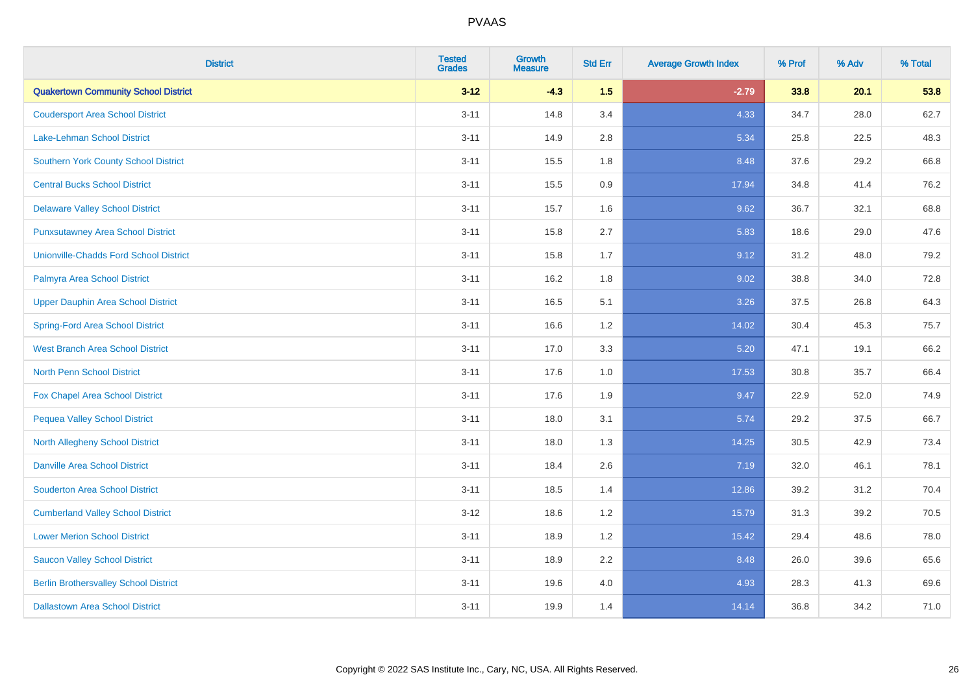| <b>District</b>                               | <b>Tested</b><br><b>Grades</b> | <b>Growth</b><br><b>Measure</b> | <b>Std Err</b> | <b>Average Growth Index</b> | % Prof | % Adv | % Total |
|-----------------------------------------------|--------------------------------|---------------------------------|----------------|-----------------------------|--------|-------|---------|
| <b>Quakertown Community School District</b>   | $3 - 12$                       | $-4.3$                          | 1.5            | $-2.79$                     | 33.8   | 20.1  | 53.8    |
| <b>Coudersport Area School District</b>       | $3 - 11$                       | 14.8                            | 3.4            | 4.33                        | 34.7   | 28.0  | 62.7    |
| Lake-Lehman School District                   | $3 - 11$                       | 14.9                            | 2.8            | 5.34                        | 25.8   | 22.5  | 48.3    |
| <b>Southern York County School District</b>   | $3 - 11$                       | 15.5                            | 1.8            | 8.48                        | 37.6   | 29.2  | 66.8    |
| <b>Central Bucks School District</b>          | $3 - 11$                       | 15.5                            | 0.9            | 17.94                       | 34.8   | 41.4  | 76.2    |
| <b>Delaware Valley School District</b>        | $3 - 11$                       | 15.7                            | 1.6            | 9.62                        | 36.7   | 32.1  | 68.8    |
| <b>Punxsutawney Area School District</b>      | $3 - 11$                       | 15.8                            | 2.7            | 5.83                        | 18.6   | 29.0  | 47.6    |
| <b>Unionville-Chadds Ford School District</b> | $3 - 11$                       | 15.8                            | 1.7            | 9.12                        | 31.2   | 48.0  | 79.2    |
| Palmyra Area School District                  | $3 - 11$                       | 16.2                            | 1.8            | 9.02                        | 38.8   | 34.0  | 72.8    |
| <b>Upper Dauphin Area School District</b>     | $3 - 11$                       | 16.5                            | 5.1            | 3.26                        | 37.5   | 26.8  | 64.3    |
| <b>Spring-Ford Area School District</b>       | $3 - 11$                       | 16.6                            | 1.2            | 14.02                       | 30.4   | 45.3  | 75.7    |
| West Branch Area School District              | $3 - 11$                       | 17.0                            | 3.3            | 5.20                        | 47.1   | 19.1  | 66.2    |
| North Penn School District                    | $3 - 11$                       | 17.6                            | $1.0$          | 17.53                       | 30.8   | 35.7  | 66.4    |
| <b>Fox Chapel Area School District</b>        | $3 - 11$                       | 17.6                            | 1.9            | 9.47                        | 22.9   | 52.0  | 74.9    |
| <b>Pequea Valley School District</b>          | $3 - 11$                       | 18.0                            | 3.1            | 5.74                        | 29.2   | 37.5  | 66.7    |
| North Allegheny School District               | $3 - 11$                       | 18.0                            | 1.3            | 14.25                       | 30.5   | 42.9  | 73.4    |
| <b>Danville Area School District</b>          | $3 - 11$                       | 18.4                            | 2.6            | 7.19                        | 32.0   | 46.1  | 78.1    |
| <b>Souderton Area School District</b>         | $3 - 11$                       | 18.5                            | 1.4            | 12.86                       | 39.2   | 31.2  | 70.4    |
| <b>Cumberland Valley School District</b>      | $3 - 12$                       | 18.6                            | 1.2            | 15.79                       | 31.3   | 39.2  | 70.5    |
| <b>Lower Merion School District</b>           | $3 - 11$                       | 18.9                            | 1.2            | 15.42                       | 29.4   | 48.6  | 78.0    |
| <b>Saucon Valley School District</b>          | $3 - 11$                       | 18.9                            | 2.2            | 8.48                        | 26.0   | 39.6  | 65.6    |
| <b>Berlin Brothersvalley School District</b>  | $3 - 11$                       | 19.6                            | 4.0            | 4.93                        | 28.3   | 41.3  | 69.6    |
| <b>Dallastown Area School District</b>        | $3 - 11$                       | 19.9                            | 1.4            | 14.14                       | 36.8   | 34.2  | 71.0    |